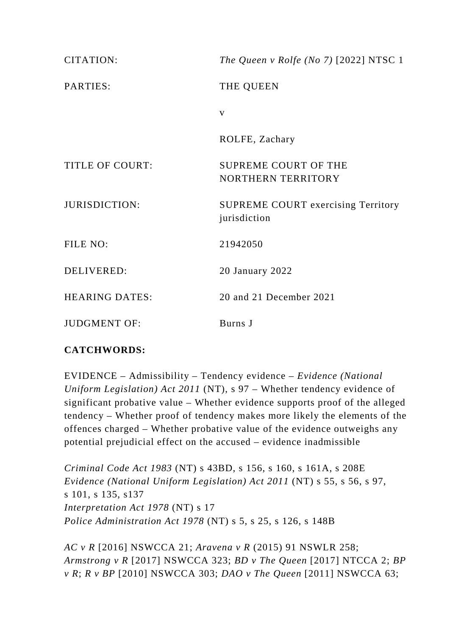| <b>CITATION:</b>       | The Queen v Rolfe (No 7) $[2022]$ NTSC 1                  |
|------------------------|-----------------------------------------------------------|
| PARTIES:               | THE QUEEN                                                 |
|                        | V                                                         |
|                        | ROLFE, Zachary                                            |
| <b>TITLE OF COURT:</b> | SUPREME COURT OF THE<br>NORTHERN TERRITORY                |
| <b>JURISDICTION:</b>   | <b>SUPREME COURT exercising Territory</b><br>jurisdiction |
| FILE NO:               | 21942050                                                  |
| <b>DELIVERED:</b>      | 20 January 2022                                           |
| <b>HEARING DATES:</b>  | 20 and 21 December 2021                                   |
| <b>JUDGMENT OF:</b>    | Burns J                                                   |

# **CATCHWORDS:**

EVIDENCE – Admissibility – Tendency evidence – *Evidence (National Uniform Legislation) Act 2011* (NT), s 97 – Whether tendency evidence of significant probative value – Whether evidence supports proof of the alleged tendency – Whether proof of tendency makes more likely the elements of the offences charged – Whether probative value of the evidence outweighs any potential prejudicial effect on the accused – evidence inadmissible

*Criminal Code Act 1983* (NT) s 43BD, s 156, s 160, s 161A, s 208E *Evidence (National Uniform Legislation) Act 2011* (NT) s 55, s 56, s 97, s 101, s 135, s137 *Interpretation Act 1978* (NT) s 17 *Police Administration Act 1978* (NT) s 5, s 25, s 126, s 148B

*AC v R* [2016] NSWCCA 21; *Aravena v R* (2015) 91 NSWLR 258; *Armstrong v R* [2017] NSWCCA 323; *BD v The Queen* [2017] NTCCA 2; *BP v R*; *R v BP* [2010] NSWCCA 303; *DAO v The Queen* [2011] NSWCCA 63;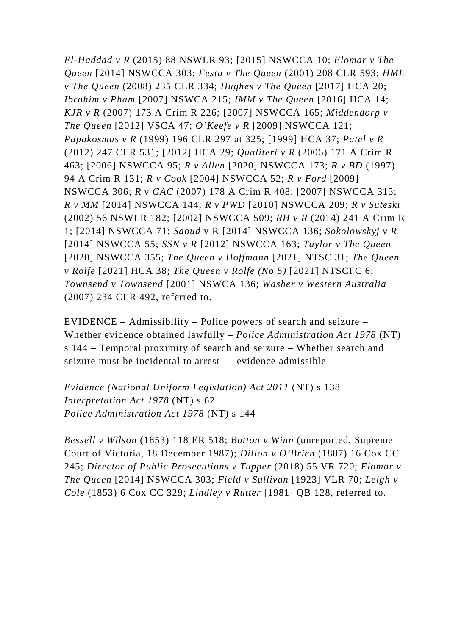*El-Haddad v R* (2015) 88 NSWLR 93; [2015] NSWCCA 10; *Elomar v The Queen* [2014] NSWCCA 303; *Festa v The Queen* (2001) 208 CLR 593; *HML v The Queen* (2008) 235 CLR 334; *Hughes v The Queen* [2017] HCA 20; *Ibrahim v Pham* [2007] NSWCA 215; *IMM v The Queen* [2016] HCA 14; *KJR v R* (2007) 173 A Crim R 226; [2007] NSWCCA 165; *Middendorp v The Queen* [2012] VSCA 47; *O'Keefe v R* [2009] NSWCCA 121; *Papakosmas v R* (1999) 196 CLR 297 at 325; [1999] HCA 37; *Patel v R* (2012) 247 CLR 531; [2012] HCA 29; *Qualiteri v R* (2006) 171 A Crim R 463; [2006] NSWCCA 95; *R v Allen* [2020] NSWCCA 173; *R v BD* (1997) 94 A Crim R 131; *R v Cook* [2004] NSWCCA 52; *R v Ford* [2009] NSWCCA 306; *R v GAC* (2007) 178 A Crim R 408; [2007] NSWCCA 315; *R v MM* [2014] NSWCCA 144; *R v PWD* [2010] NSWCCA 209; *R v Suteski* (2002) 56 NSWLR 182; [2002] NSWCCA 509; *RH v R* (2014) 241 A Crim R 1; [2014] NSWCCA 71; *Saoud* v R [2014] NSWCCA 136; *Sokolowskyj v R* [2014] NSWCCA 55; *SSN v R* [2012] NSWCCA 163; *Taylor v The Queen* [2020] NSWCCA 355; *The Queen v Hoffmann* [2021] NTSC 31; *The Queen v Rolfe* [2021] HCA 38; *The Queen v Rolfe (No 5)* [2021] NTSCFC 6; *Townsend v Townsend* [2001] NSWCA 136; *Washer v Western Australia* (2007) 234 CLR 492, referred to.

EVIDENCE – Admissibility – Police powers of search and seizure – Whether evidence obtained lawfully – *Police Administration Act 1978* (NT) s 144 – Temporal proximity of search and seizure – Whether search and seizure must be incidental to arrest –– evidence admissible

*Evidence (National Uniform Legislation) Act 2011* (NT) s 138 *Interpretation Act 1978* (NT) s 62 *Police Administration Act 1978* (NT) s 144

*Bessell v Wilson* (1853) 118 ER 518; *Botton v Winn* (unreported, Supreme Court of Victoria, 18 December 1987); *Dillon v O'Brien* (1887) 16 Cox CC 245; *Director of Public Prosecutions v Tupper* (2018) 55 VR 720; *Elomar v The Queen* [2014] NSWCCA 303; *Field v Sullivan* [1923] VLR 70; *Leigh v Cole* (1853) 6 Cox CC 329; *Lindley v Rutter* [1981] QB 128, referred to.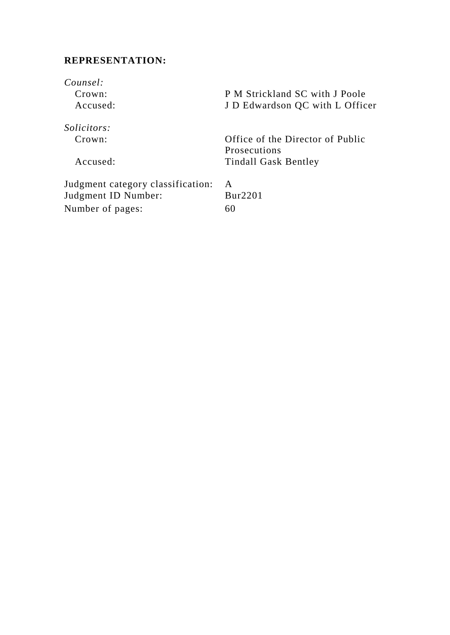## **REPRESENTATION:**

*Counsel:* P M Strickland SC with J Poole Accused: J D Edwardson QC with L Officer *Solicitors:*  Crown: Office of the Director of Public Prosecutions Accused: Tindall Gask Bentley Judgment category classification: A<br>Judgment ID Number: Bur2201 Judgment ID Number: Number of pages: 60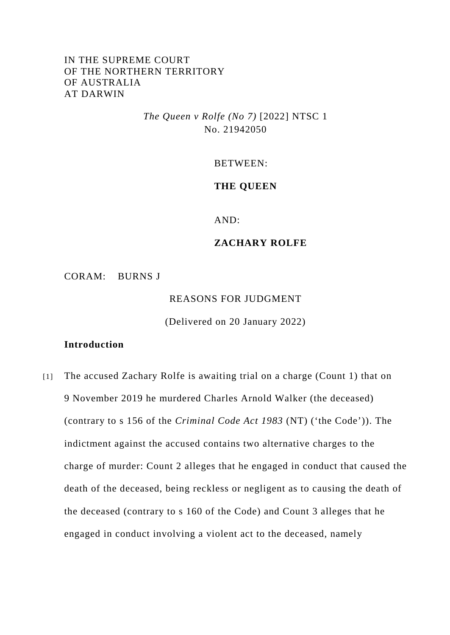## IN THE SUPREME COURT OF THE NORTHERN TERRITORY OF AUSTRALIA AT DARWIN

*The Queen v Rolfe (No 7)* [2022] NTSC 1 No. 21942050

BETWEEN:

### **THE QUEEN**

AND:

## **ZACHARY ROLFE**

CORAM: BURNS J

REASONS FOR JUDGMENT

(Delivered on 20 January 2022)

## **Introduction**

[1] The accused Zachary Rolfe is awaiting trial on a charge (Count 1) that on 9 November 2019 he murdered Charles Arnold Walker (the deceased) (contrary to s 156 of the *Criminal Code Act 1983* (NT) ('the Code')). The indictment against the accused contains two alternative charges to the charge of murder: Count 2 alleges that he engaged in conduct that caused the death of the deceased, being reckless or negligent as to causing the death of the deceased (contrary to s 160 of the Code) and Count 3 alleges that he engaged in conduct involving a violent act to the deceased, namely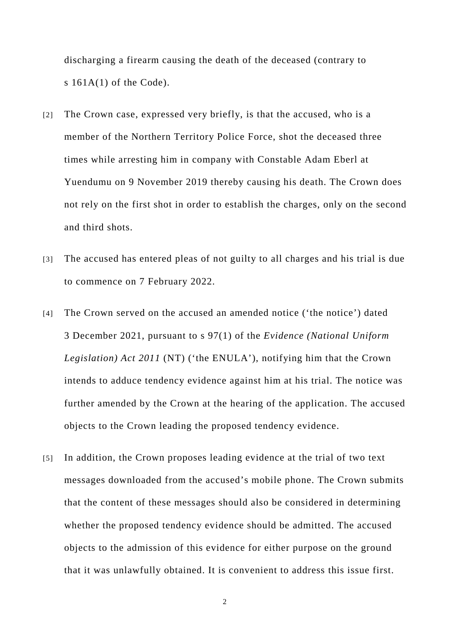discharging a firearm causing the death of the deceased (contrary to s  $161A(1)$  of the Code).

- [2] The Crown case, expressed very briefly, is that the accused, who is a member of the Northern Territory Police Force, shot the deceased three times while arresting him in company with Constable Adam Eberl at Yuendumu on 9 November 2019 thereby causing his death. The Crown does not rely on the first shot in order to establish the charges, only on the second and third shots.
- [3] The accused has entered pleas of not guilty to all charges and his trial is due to commence on 7 February 2022.
- [4] The Crown served on the accused an amended notice ('the notice') dated 3 December 2021, pursuant to s 97(1) of the *Evidence (National Uniform Legislation) Act 2011* (NT) ('the ENULA'), notifying him that the Crown intends to adduce tendency evidence against him at his trial. The notice was further amended by the Crown at the hearing of the application. The accused objects to the Crown leading the proposed tendency evidence.
- [5] In addition, the Crown proposes leading evidence at the trial of two text messages downloaded from the accused's mobile phone. The Crown submits that the content of these messages should also be considered in determining whether the proposed tendency evidence should be admitted. The accused objects to the admission of this evidence for either purpose on the ground that it was unlawfully obtained. It is convenient to address this issue first.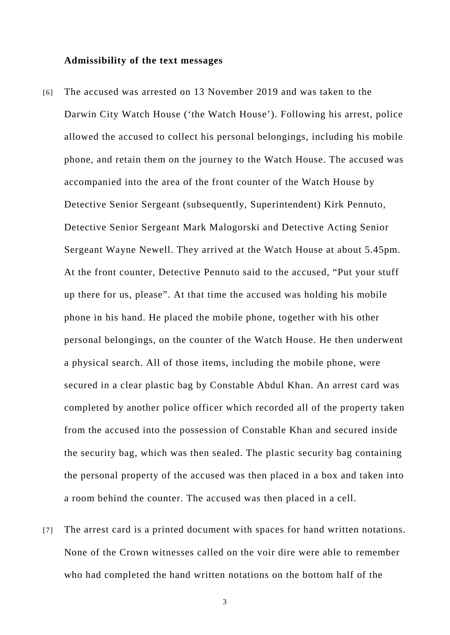#### **Admissibility of the text messages**

- [6] The accused was arrested on 13 November 2019 and was taken to the Darwin City Watch House ('the Watch House'). Following his arrest, police allowed the accused to collect his personal belongings, including his mobile phone, and retain them on the journey to the Watch House. The accused was accompanied into the area of the front counter of the Watch House by Detective Senior Sergeant (subsequently, Superintendent) Kirk Pennuto, Detective Senior Sergeant Mark Malogorski and Detective Acting Senior Sergeant Wayne Newell. They arrived at the Watch House at about 5.45pm. At the front counter, Detective Pennuto said to the accused, "Put your stuff up there for us, please". At that time the accused was holding his mobile phone in his hand. He placed the mobile phone, together with his other personal belongings, on the counter of the Watch House. He then underwent a physical search. All of those items, including the mobile phone, were secured in a clear plastic bag by Constable Abdul Khan. An arrest card was completed by another police officer which recorded all of the property taken from the accused into the possession of Constable Khan and secured inside the security bag, which was then sealed. The plastic security bag containing the personal property of the accused was then placed in a box and taken into a room behind the counter. The accused was then placed in a cell.
- [7] The arrest card is a printed document with spaces for hand written notations. None of the Crown witnesses called on the voir dire were able to remember who had completed the hand written notations on the bottom half of the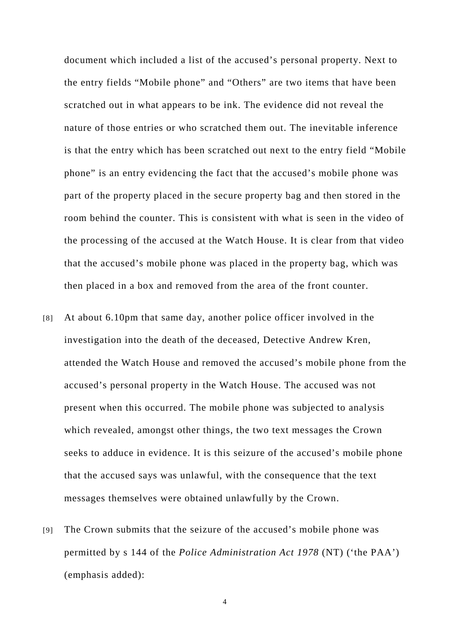document which included a list of the accused's personal property. Next to the entry fields "Mobile phone" and "Others" are two items that have been scratched out in what appears to be ink. The evidence did not reveal the nature of those entries or who scratched them out. The inevitable inference is that the entry which has been scratched out next to the entry field "Mobile phone" is an entry evidencing the fact that the accused's mobile phone was part of the property placed in the secure property bag and then stored in the room behind the counter. This is consistent with what is seen in the video of the processing of the accused at the Watch House. It is clear from that video that the accused's mobile phone was placed in the property bag, which was then placed in a box and removed from the area of the front counter.

- [8] At about 6.10pm that same day, another police officer involved in the investigation into the death of the deceased, Detective Andrew Kren, attended the Watch House and removed the accused's mobile phone from the accused's personal property in the Watch House. The accused was not present when this occurred. The mobile phone was subjected to analysis which revealed, amongst other things, the two text messages the Crown seeks to adduce in evidence. It is this seizure of the accused's mobile phone that the accused says was unlawful, with the consequence that the text messages themselves were obtained unlawfully by the Crown.
- [9] The Crown submits that the seizure of the accused's mobile phone was permitted by s 144 of the *Police Administration Act 1978* (NT) ('the PAA') (emphasis added):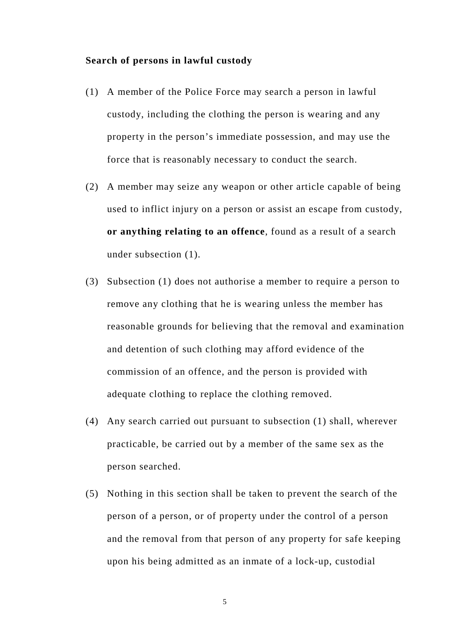#### **Search of persons in lawful custody**

- (1) A member of the Police Force may search a person in lawful custody, including the clothing the person is wearing and any property in the person's immediate possession, and may use the force that is reasonably necessary to conduct the search.
- (2) A member may seize any weapon or other article capable of being used to inflict injury on a person or assist an escape from custody, **or anything relating to an offence**, found as a result of a search under subsection (1).
- (3) Subsection (1) does not authorise a member to require a person to remove any clothing that he is wearing unless the member has reasonable grounds for believing that the removal and examination and detention of such clothing may afford evidence of the commission of an offence, and the person is provided with adequate clothing to replace the clothing removed.
- (4) Any search carried out pursuant to subsection (1) shall, wherever practicable, be carried out by a member of the same sex as the person searched.
- (5) Nothing in this section shall be taken to prevent the search of the person of a person, or of property under the control of a person and the removal from that person of any property for safe keeping upon his being admitted as an inmate of a lock-up, custodial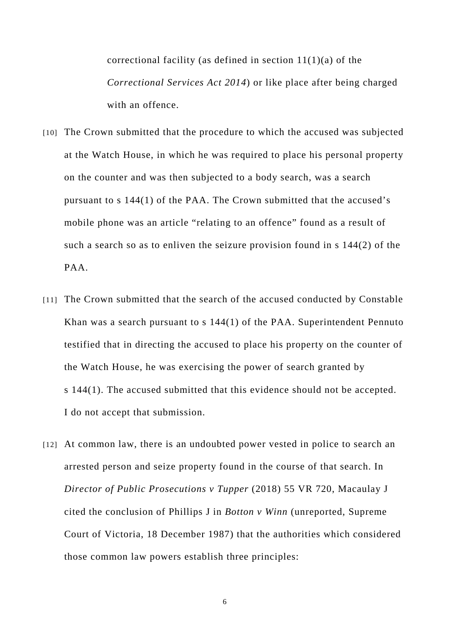correctional facility (as defined in section  $11(1)(a)$  of the *Correctional Services Act 2014*) or like place after being charged with an offence

- [10] The Crown submitted that the procedure to which the accused was subjected at the Watch House, in which he was required to place his personal property on the counter and was then subjected to a body search, was a search pursuant to s 144(1) of the PAA. The Crown submitted that the accused's mobile phone was an article "relating to an offence" found as a result of such a search so as to enliven the seizure provision found in s 144(2) of the PAA.
- [11] The Crown submitted that the search of the accused conducted by Constable Khan was a search pursuant to s 144(1) of the PAA. Superintendent Pennuto testified that in directing the accused to place his property on the counter of the Watch House, he was exercising the power of search granted by s 144(1). The accused submitted that this evidence should not be accepted. I do not accept that submission.
- [12] At common law, there is an undoubted power vested in police to search an arrested person and seize property found in the course of that search. In *Director of Public Prosecutions v Tupper* (2018) 55 VR 720, Macaulay J cited the conclusion of Phillips J in *Botton v Winn* (unreported, Supreme Court of Victoria, 18 December 1987) that the authorities which considered those common law powers establish three principles: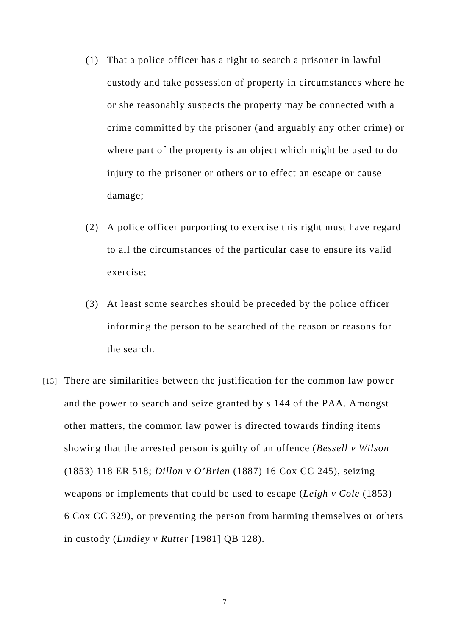- (1) That a police officer has a right to search a prisoner in lawful custody and take possession of property in circumstances where he or she reasonably suspects the property may be connected with a crime committed by the prisoner (and arguably any other crime) or where part of the property is an object which might be used to do injury to the prisoner or others or to effect an escape or cause damage;
- (2) A police officer purporting to exercise this right must have regard to all the circumstances of the particular case to ensure its valid exercise;
- (3) At least some searches should be preceded by the police officer informing the person to be searched of the reason or reasons for the search.
- [13] There are similarities between the justification for the common law power and the power to search and seize granted by s 144 of the PAA. Amongst other matters, the common law power is directed towards finding items showing that the arrested person is guilty of an offence (*Bessell v Wilson*  (1853) 118 ER 518; *Dillon v O'Brien* (1887) 16 Cox CC 245), seizing weapons or implements that could be used to escape (*Leigh v Cole* (1853) 6 Cox CC 329), or preventing the person from harming themselves or others in custody (*Lindley v Rutter* [1981] QB 128).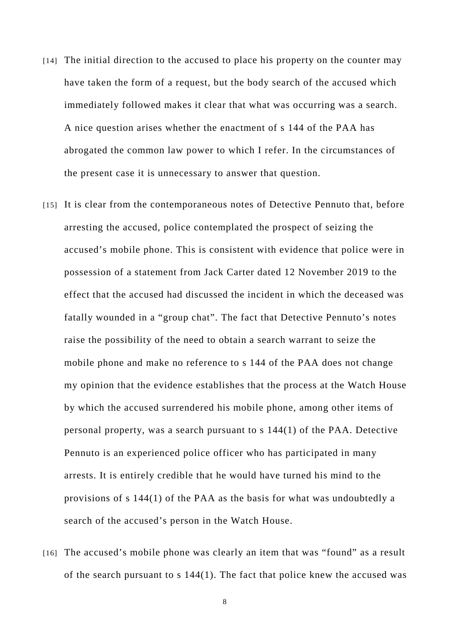- [14] The initial direction to the accused to place his property on the counter may have taken the form of a request, but the body search of the accused which immediately followed makes it clear that what was occurring was a search. A nice question arises whether the enactment of s 144 of the PAA has abrogated the common law power to which I refer. In the circumstances of the present case it is unnecessary to answer that question.
- [15] It is clear from the contemporaneous notes of Detective Pennuto that, before arresting the accused, police contemplated the prospect of seizing the accused's mobile phone. This is consistent with evidence that police were in possession of a statement from Jack Carter dated 12 November 2019 to the effect that the accused had discussed the incident in which the deceased was fatally wounded in a "group chat". The fact that Detective Pennuto's notes raise the possibility of the need to obtain a search warrant to seize the mobile phone and make no reference to s 144 of the PAA does not change my opinion that the evidence establishes that the process at the Watch House by which the accused surrendered his mobile phone, among other items of personal property, was a search pursuant to s 144(1) of the PAA. Detective Pennuto is an experienced police officer who has participated in many arrests. It is entirely credible that he would have turned his mind to the provisions of s 144(1) of the PAA as the basis for what was undoubtedly a search of the accused's person in the Watch House.
- [16] The accused's mobile phone was clearly an item that was "found" as a result of the search pursuant to s 144(1). The fact that police knew the accused was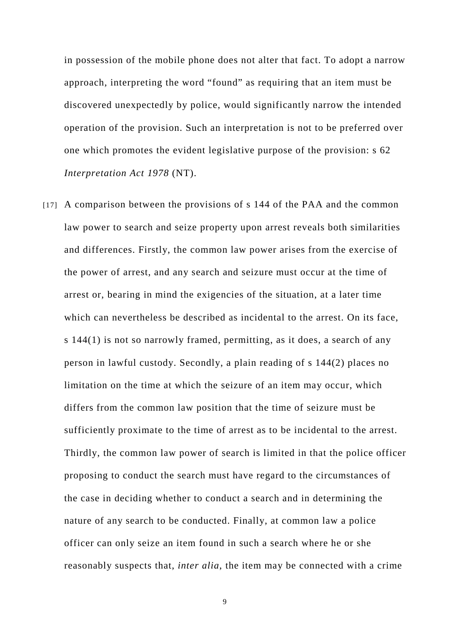in possession of the mobile phone does not alter that fact. To adopt a narrow approach, interpreting the word "found" as requiring that an item must be discovered unexpectedly by police, would significantly narrow the intended operation of the provision. Such an interpretation is not to be preferred over one which promotes the evident legislative purpose of the provision: s 62 *Interpretation Act 1978* (NT).

[17] A comparison between the provisions of s 144 of the PAA and the common law power to search and seize property upon arrest reveals both similarities and differences. Firstly, the common law power arises from the exercise of the power of arrest, and any search and seizure must occur at the time of arrest or, bearing in mind the exigencies of the situation, at a later time which can nevertheless be described as incidental to the arrest. On its face, s 144(1) is not so narrowly framed, permitting, as it does, a search of any person in lawful custody. Secondly, a plain reading of s 144(2) places no limitation on the time at which the seizure of an item may occur, which differs from the common law position that the time of seizure must be sufficiently proximate to the time of arrest as to be incidental to the arrest. Thirdly, the common law power of search is limited in that the police officer proposing to conduct the search must have regard to the circumstances of the case in deciding whether to conduct a search and in determining the nature of any search to be conducted. Finally, at common law a police officer can only seize an item found in such a search where he or she reasonably suspects that, *inter alia*, the item may be connected with a crime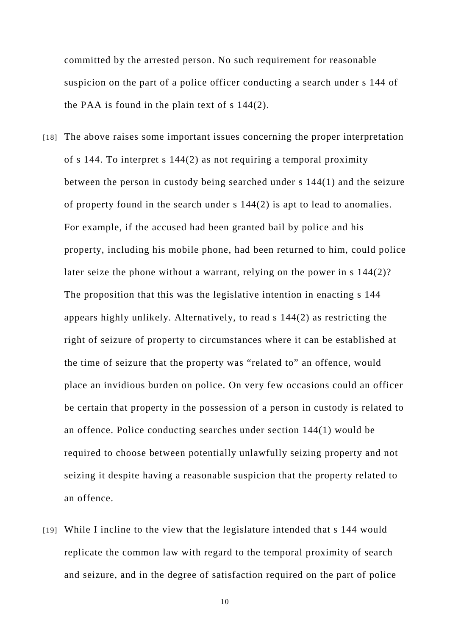committed by the arrested person. No such requirement for reasonable suspicion on the part of a police officer conducting a search under s 144 of the PAA is found in the plain text of s 144(2).

- [18] The above raises some important issues concerning the proper interpretation of s 144. To interpret s 144(2) as not requiring a temporal proximity between the person in custody being searched under s 144(1) and the seizure of property found in the search under s 144(2) is apt to lead to anomalies. For example, if the accused had been granted bail by police and his property, including his mobile phone, had been returned to him, could police later seize the phone without a warrant, relying on the power in s 144(2)? The proposition that this was the legislative intention in enacting s 144 appears highly unlikely. Alternatively, to read s 144(2) as restricting the right of seizure of property to circumstances where it can be established at the time of seizure that the property was "related to" an offence, would place an invidious burden on police. On very few occasions could an officer be certain that property in the possession of a person in custody is related to an offence. Police conducting searches under section 144(1) would be required to choose between potentially unlawfully seizing property and not seizing it despite having a reasonable suspicion that the property related to an offence.
- [19] While I incline to the view that the legislature intended that s 144 would replicate the common law with regard to the temporal proximity of search and seizure, and in the degree of satisfaction required on the part of police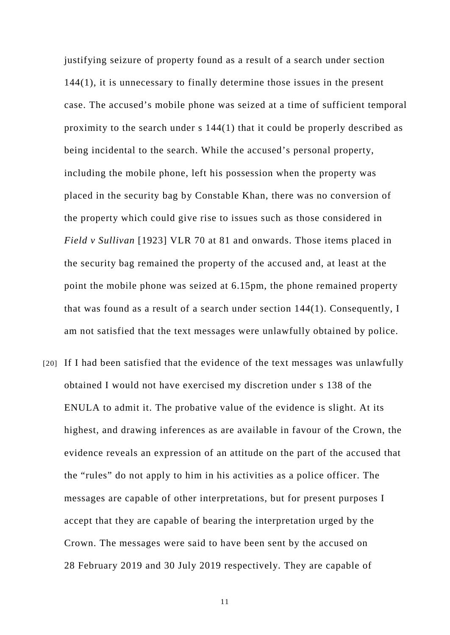justifying seizure of property found as a result of a search under section 144(1), it is unnecessary to finally determine those issues in the present case. The accused's mobile phone was seized at a time of sufficient temporal proximity to the search under s 144(1) that it could be properly described as being incidental to the search. While the accused's personal property, including the mobile phone, left his possession when the property was placed in the security bag by Constable Khan, there was no conversion of the property which could give rise to issues such as those considered in *Field v Sullivan* [1923] VLR 70 at 81 and onwards. Those items placed in the security bag remained the property of the accused and, at least at the point the mobile phone was seized at 6.15pm, the phone remained property that was found as a result of a search under section 144(1). Consequently, I am not satisfied that the text messages were unlawfully obtained by police.

[20] If I had been satisfied that the evidence of the text messages was unlawfully obtained I would not have exercised my discretion under s 138 of the ENULA to admit it. The probative value of the evidence is slight. At its highest, and drawing inferences as are available in favour of the Crown, the evidence reveals an expression of an attitude on the part of the accused that the "rules" do not apply to him in his activities as a police officer. The messages are capable of other interpretations, but for present purposes I accept that they are capable of bearing the interpretation urged by the Crown. The messages were said to have been sent by the accused on 28 February 2019 and 30 July 2019 respectively. They are capable of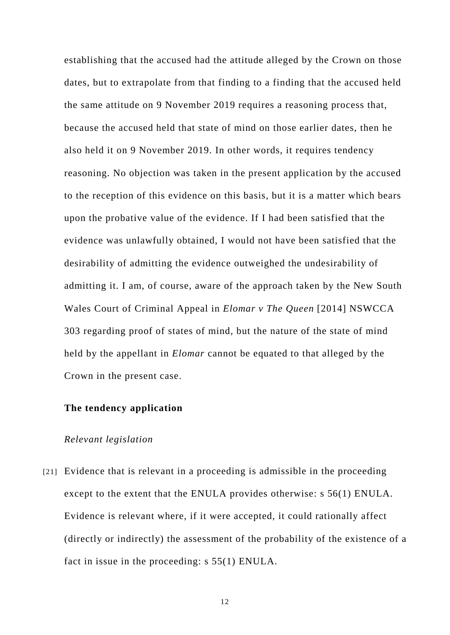establishing that the accused had the attitude alleged by the Crown on those dates, but to extrapolate from that finding to a finding that the accused held the same attitude on 9 November 2019 requires a reasoning process that, because the accused held that state of mind on those earlier dates, then he also held it on 9 November 2019. In other words, it requires tendency reasoning. No objection was taken in the present application by the accused to the reception of this evidence on this basis, but it is a matter which bears upon the probative value of the evidence. If I had been satisfied that the evidence was unlawfully obtained, I would not have been satisfied that the desirability of admitting the evidence outweighed the undesirability of admitting it. I am, of course, aware of the approach taken by the New South Wales Court of Criminal Appeal in *Elomar v The Queen* [2014] NSWCCA 303 regarding proof of states of mind, but the nature of the state of mind held by the appellant in *Elomar* cannot be equated to that alleged by the Crown in the present case.

### **The tendency application**

#### *Relevant legislation*

[21] Evidence that is relevant in a proceeding is admissible in the proceeding except to the extent that the ENULA provides otherwise: s 56(1) ENULA. Evidence is relevant where, if it were accepted, it could rationally affect (directly or indirectly) the assessment of the probability of the existence of a fact in issue in the proceeding: s 55(1) ENULA.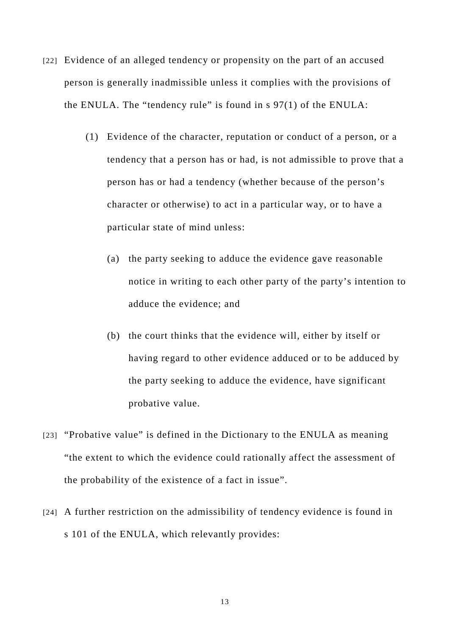- [22] Evidence of an alleged tendency or propensity on the part of an accused person is generally inadmissible unless it complies with the provisions of the ENULA. The "tendency rule" is found in s 97(1) of the ENULA:
	- (1) Evidence of the character, reputation or conduct of a person, or a tendency that a person has or had, is not admissible to prove that a person has or had a tendency (whether because of the person's character or otherwise) to act in a particular way, or to have a particular state of mind unless:
		- (a) the party seeking to adduce the evidence gave reasonable notice in writing to each other party of the party's intention to adduce the evidence; and
		- (b) the court thinks that the evidence will, either by itself or having regard to other evidence adduced or to be adduced by the party seeking to adduce the evidence, have significant probative value.
- [23] "Probative value" is defined in the Dictionary to the ENULA as meaning "the extent to which the evidence could rationally affect the assessment of the probability of the existence of a fact in issue".
- [24] A further restriction on the admissibility of tendency evidence is found in s 101 of the ENULA, which relevantly provides: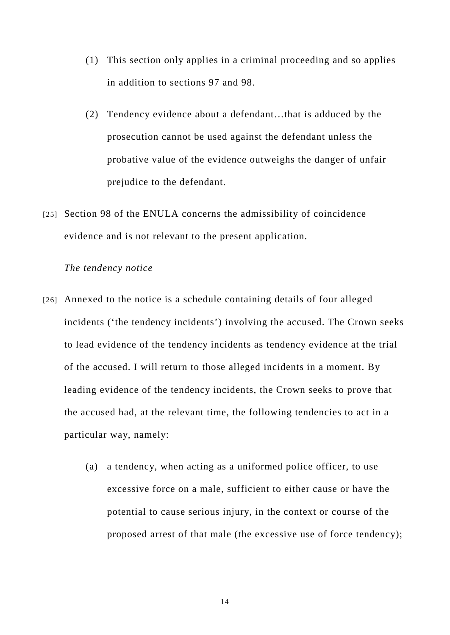- (1) This section only applies in a criminal proceeding and so applies in addition to sections 97 and 98.
- (2) Tendency evidence about a defendant…that is adduced by the prosecution cannot be used against the defendant unless the probative value of the evidence outweighs the danger of unfair prejudice to the defendant.
- [25] Section 98 of the ENULA concerns the admissibility of coincidence evidence and is not relevant to the present application.

### *The tendency notice*

- [26] Annexed to the notice is a schedule containing details of four alleged incidents ('the tendency incidents') involving the accused. The Crown seeks to lead evidence of the tendency incidents as tendency evidence at the trial of the accused. I will return to those alleged incidents in a moment. By leading evidence of the tendency incidents, the Crown seeks to prove that the accused had, at the relevant time, the following tendencies to act in a particular way, namely:
	- (a) a tendency, when acting as a uniformed police officer, to use excessive force on a male, sufficient to either cause or have the potential to cause serious injury, in the context or course of the proposed arrest of that male (the excessive use of force tendency);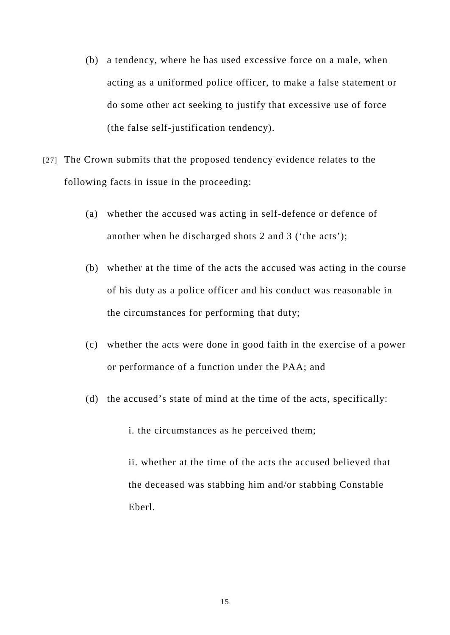- (b) a tendency, where he has used excessive force on a male, when acting as a uniformed police officer, to make a false statement or do some other act seeking to justify that excessive use of force (the false self-justification tendency).
- [27] The Crown submits that the proposed tendency evidence relates to the following facts in issue in the proceeding:
	- (a) whether the accused was acting in self-defence or defence of another when he discharged shots 2 and 3 ('the acts');
	- (b) whether at the time of the acts the accused was acting in the course of his duty as a police officer and his conduct was reasonable in the circumstances for performing that duty;
	- (c) whether the acts were done in good faith in the exercise of a power or performance of a function under the PAA; and
	- (d) the accused's state of mind at the time of the acts, specifically:

i. the circumstances as he perceived them;

ii. whether at the time of the acts the accused believed that the deceased was stabbing him and/or stabbing Constable Eberl.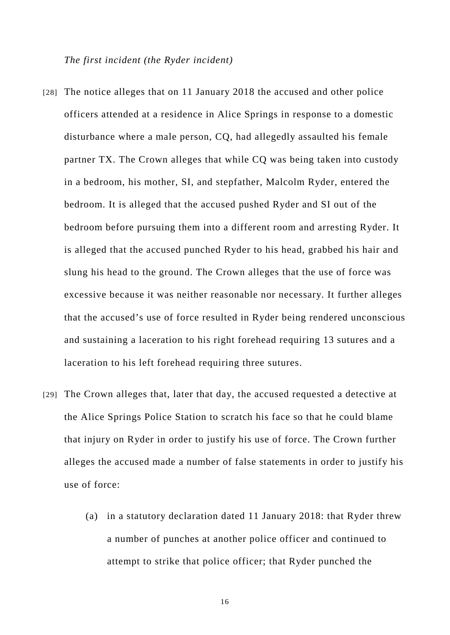*The first incident (the Ryder incident)* 

- [28] The notice alleges that on 11 January 2018 the accused and other police officers attended at a residence in Alice Springs in response to a domestic disturbance where a male person, CQ, had allegedly assaulted his female partner TX. The Crown alleges that while CQ was being taken into custody in a bedroom, his mother, SI, and stepfather, Malcolm Ryder, entered the bedroom. It is alleged that the accused pushed Ryder and SI out of the bedroom before pursuing them into a different room and arresting Ryder. It is alleged that the accused punched Ryder to his head, grabbed his hair and slung his head to the ground. The Crown alleges that the use of force was excessive because it was neither reasonable nor necessary. It further alleges that the accused's use of force resulted in Ryder being rendered unconscious and sustaining a laceration to his right forehead requiring 13 sutures and a laceration to his left forehead requiring three sutures.
- [29] The Crown alleges that, later that day, the accused requested a detective at the Alice Springs Police Station to scratch his face so that he could blame that injury on Ryder in order to justify his use of force. The Crown further alleges the accused made a number of false statements in order to justify his use of force:
	- (a) in a statutory declaration dated 11 January 2018: that Ryder threw a number of punches at another police officer and continued to attempt to strike that police officer; that Ryder punched the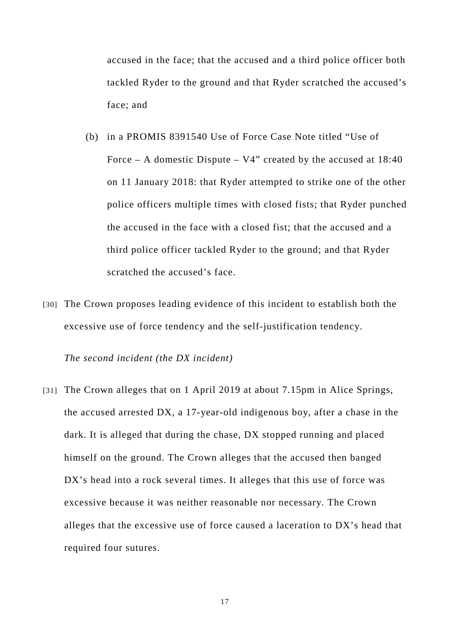accused in the face; that the accused and a third police officer both tackled Ryder to the ground and that Ryder scratched the accused's face; and

- (b) in a PROMIS 8391540 Use of Force Case Note titled "Use of Force – A domestic Dispute –  $V4$ " created by the accused at  $18:40$ on 11 January 2018: that Ryder attempted to strike one of the other police officers multiple times with closed fists; that Ryder punched the accused in the face with a closed fist; that the accused and a third police officer tackled Ryder to the ground; and that Ryder scratched the accused's face.
- [30] The Crown proposes leading evidence of this incident to establish both the excessive use of force tendency and the self-justification tendency.

*The second incident (the DX incident)* 

[31] The Crown alleges that on 1 April 2019 at about 7.15pm in Alice Springs, the accused arrested DX, a 17-year-old indigenous boy, after a chase in the dark. It is alleged that during the chase, DX stopped running and placed himself on the ground. The Crown alleges that the accused then banged DX's head into a rock several times. It alleges that this use of force was excessive because it was neither reasonable nor necessary. The Crown alleges that the excessive use of force caused a laceration to DX's head that required four sutures.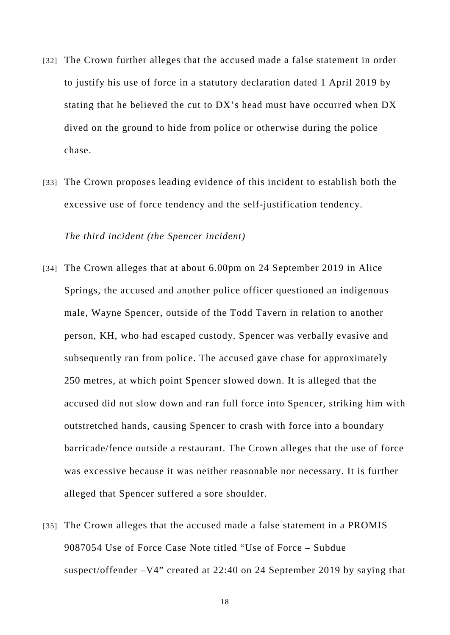- [32] The Crown further alleges that the accused made a false statement in order to justify his use of force in a statutory declaration dated 1 April 2019 by stating that he believed the cut to DX's head must have occurred when DX dived on the ground to hide from police or otherwise during the police chase.
- [33] The Crown proposes leading evidence of this incident to establish both the excessive use of force tendency and the self-justification tendency.

*The third incident (the Spencer incident)* 

- [34] The Crown alleges that at about 6.00pm on 24 September 2019 in Alice Springs, the accused and another police officer questioned an indigenous male, Wayne Spencer, outside of the Todd Tavern in relation to another person, KH, who had escaped custody. Spencer was verbally evasive and subsequently ran from police. The accused gave chase for approximately 250 metres, at which point Spencer slowed down. It is alleged that the accused did not slow down and ran full force into Spencer, striking him with outstretched hands, causing Spencer to crash with force into a boundary barricade/fence outside a restaurant. The Crown alleges that the use of force was excessive because it was neither reasonable nor necessary. It is further alleged that Spencer suffered a sore shoulder.
- [35] The Crown alleges that the accused made a false statement in a PROMIS 9087054 Use of Force Case Note titled "Use of Force – Subdue suspect/offender –V4" created at 22:40 on 24 September 2019 by saying that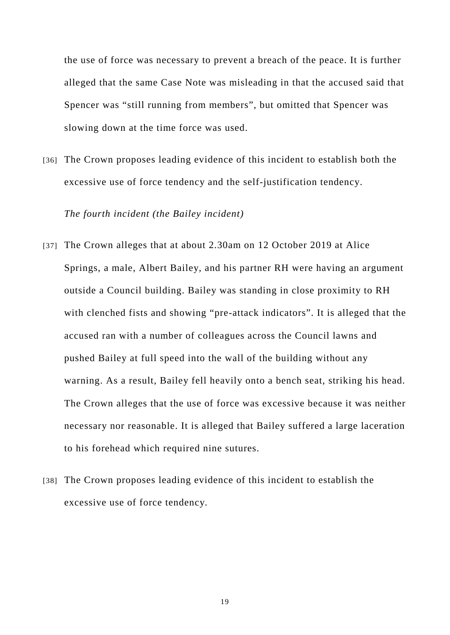the use of force was necessary to prevent a breach of the peace. It is further alleged that the same Case Note was misleading in that the accused said that Spencer was "still running from members", but omitted that Spencer was slowing down at the time force was used.

[36] The Crown proposes leading evidence of this incident to establish both the excessive use of force tendency and the self-justification tendency.

### *The fourth incident (the Bailey incident)*

- [37] The Crown alleges that at about 2.30am on 12 October 2019 at Alice Springs, a male, Albert Bailey, and his partner RH were having an argument outside a Council building. Bailey was standing in close proximity to RH with clenched fists and showing "pre-attack indicators". It is alleged that the accused ran with a number of colleagues across the Council lawns and pushed Bailey at full speed into the wall of the building without any warning. As a result, Bailey fell heavily onto a bench seat, striking his head. The Crown alleges that the use of force was excessive because it was neither necessary nor reasonable. It is alleged that Bailey suffered a large laceration to his forehead which required nine sutures.
- [38] The Crown proposes leading evidence of this incident to establish the excessive use of force tendency.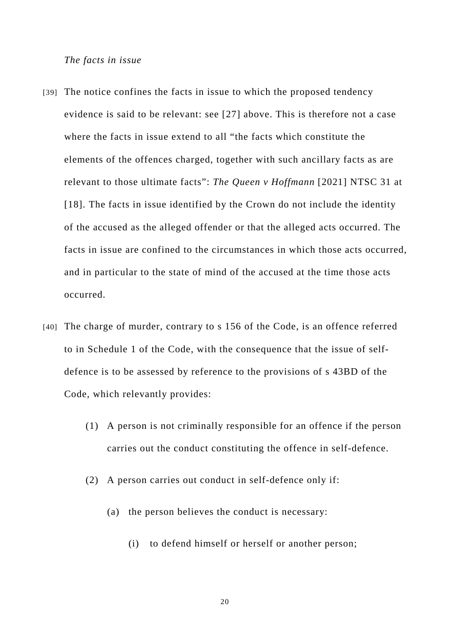#### *The facts in issue*

- [39] The notice confines the facts in issue to which the proposed tendency evidence is said to be relevant: see [27] above. This is therefore not a case where the facts in issue extend to all "the facts which constitute the elements of the offences charged, together with such ancillary facts as are relevant to those ultimate facts": *The Queen v Hoffmann* [2021] NTSC 31 at [18]. The facts in issue identified by the Crown do not include the identity of the accused as the alleged offender or that the alleged acts occurred. The facts in issue are confined to the circumstances in which those acts occurred, and in particular to the state of mind of the accused at the time those acts occurred.
- [40] The charge of murder, contrary to s 156 of the Code, is an offence referred to in Schedule 1 of the Code, with the consequence that the issue of selfdefence is to be assessed by reference to the provisions of s 43BD of the Code, which relevantly provides:
	- (1) A person is not criminally responsible for an offence if the person carries out the conduct constituting the offence in self-defence.
	- (2) A person carries out conduct in self-defence only if:
		- (a) the person believes the conduct is necessary:
			- (i) to defend himself or herself or another person;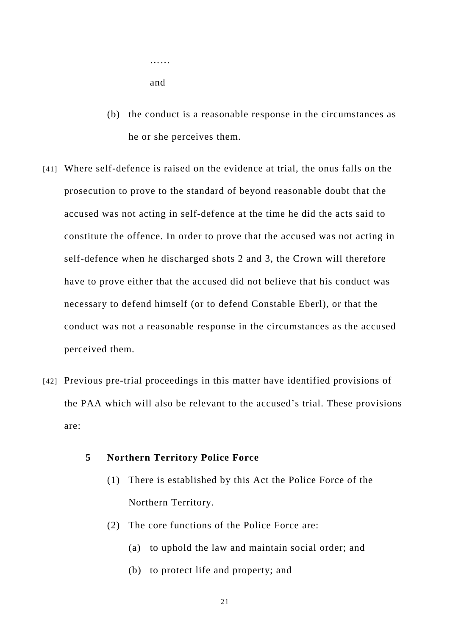…… and

- (b) the conduct is a reasonable response in the circumstances as he or she perceives them.
- [41] Where self-defence is raised on the evidence at trial, the onus falls on the prosecution to prove to the standard of beyond reasonable doubt that the accused was not acting in self-defence at the time he did the acts said to constitute the offence. In order to prove that the accused was not acting in self-defence when he discharged shots 2 and 3, the Crown will therefore have to prove either that the accused did not believe that his conduct was necessary to defend himself (or to defend Constable Eberl), or that the conduct was not a reasonable response in the circumstances as the accused perceived them.
- [42] Previous pre-trial proceedings in this matter have identified provisions of the PAA which will also be relevant to the accused's trial. These provisions are:
	- **5 Northern Territory Police Force** 
		- (1) There is established by this Act the Police Force of the Northern Territory.
		- (2) The core functions of the Police Force are:
			- (a) to uphold the law and maintain social order; and
			- (b) to protect life and property; and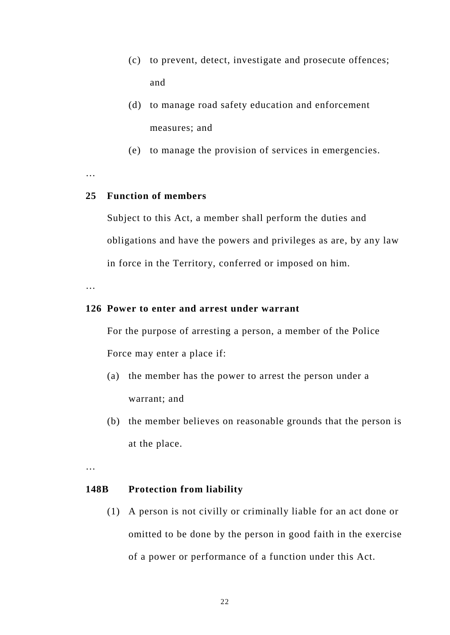- (c) to prevent, detect, investigate and prosecute offences; and
- (d) to manage road safety education and enforcement measures; and
- (e) to manage the provision of services in emergencies.

…

## **25 Function of members**

Subject to this Act, a member shall perform the duties and obligations and have the powers and privileges as are, by any law in force in the Territory, conferred or imposed on him.

…

### **126 Power to enter and arrest under warrant**

For the purpose of arresting a person, a member of the Police Force may enter a place if:

- (a) the member has the power to arrest the person under a warrant; and
- (b) the member believes on reasonable grounds that the person is at the place.

…

#### **148B Protection from liability**

(1) A person is not civilly or criminally liable for an act done or omitted to be done by the person in good faith in the exercise of a power or performance of a function under this Act.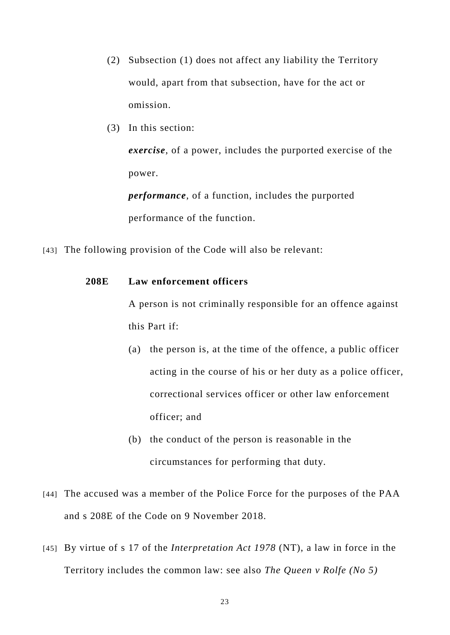- (2) Subsection (1) does not affect any liability the Territory would, apart from that subsection, have for the act or omission.
- (3) In this section:

*exercise*, of a power, includes the purported exercise of the power.

*performance*, of a function, includes the purported performance of the function.

[43] The following provision of the Code will also be relevant:

## **208E Law enforcement officers**

A person is not criminally responsible for an offence against this Part if:

- (a) the person is, at the time of the offence, a public officer acting in the course of his or her duty as a police officer, correctional services officer or other law enforcement officer; and
- (b) the conduct of the person is reasonable in the circumstances for performing that duty.
- [44] The accused was a member of the Police Force for the purposes of the PAA and s 208E of the Code on 9 November 2018.
- [45] By virtue of s 17 of the *Interpretation Act 1978* (NT), a law in force in the Territory includes the common law: see also *The Queen v Rolfe (No 5)*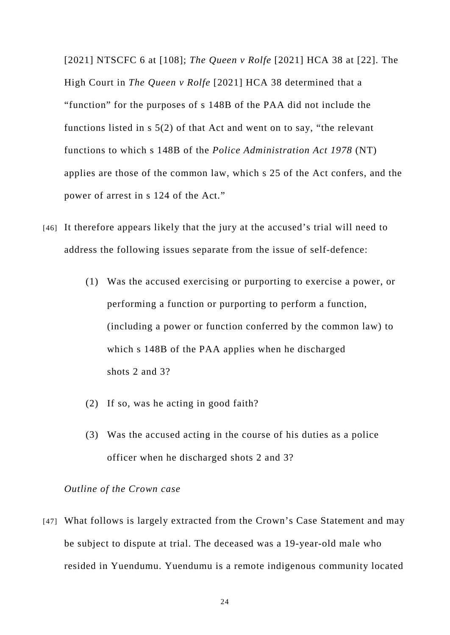[2021] NTSCFC 6 at [108]; *The Queen v Rolfe* [2021] HCA 38 at [22]. The High Court in *The Queen v Rolfe* [2021] HCA 38 determined that a "function" for the purposes of s 148B of the PAA did not include the functions listed in s 5(2) of that Act and went on to say, "the relevant functions to which s 148B of the *Police Administration Act 1978* (NT) applies are those of the common law, which s 25 of the Act confers, and the power of arrest in s 124 of the Act."

- [46] It therefore appears likely that the jury at the accused's trial will need to address the following issues separate from the issue of self-defence:
	- (1) Was the accused exercising or purporting to exercise a power, or performing a function or purporting to perform a function, (including a power or function conferred by the common law) to which s 148B of the PAA applies when he discharged shots 2 and 3?
	- (2) If so, was he acting in good faith?
	- (3) Was the accused acting in the course of his duties as a police officer when he discharged shots 2 and 3?

### *Outline of the Crown case*

[47] What follows is largely extracted from the Crown's Case Statement and may be subject to dispute at trial. The deceased was a 19-year-old male who resided in Yuendumu. Yuendumu is a remote indigenous community located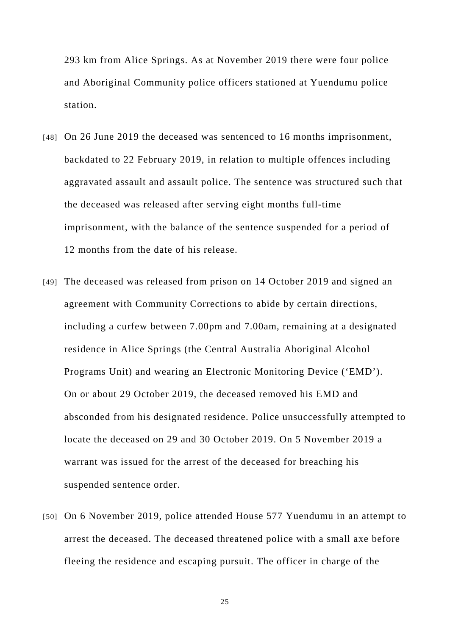293 km from Alice Springs. As at November 2019 there were four police and Aboriginal Community police officers stationed at Yuendumu police station.

- [48] On 26 June 2019 the deceased was sentenced to 16 months imprisonment, backdated to 22 February 2019, in relation to multiple offences including aggravated assault and assault police. The sentence was structured such that the deceased was released after serving eight months full-time imprisonment, with the balance of the sentence suspended for a period of 12 months from the date of his release.
- [49] The deceased was released from prison on 14 October 2019 and signed an agreement with Community Corrections to abide by certain directions, including a curfew between 7.00pm and 7.00am, remaining at a designated residence in Alice Springs (the Central Australia Aboriginal Alcohol Programs Unit) and wearing an Electronic Monitoring Device ('EMD'). On or about 29 October 2019, the deceased removed his EMD and absconded from his designated residence. Police unsuccessfully attempted to locate the deceased on 29 and 30 October 2019. On 5 November 2019 a warrant was issued for the arrest of the deceased for breaching his suspended sentence order.
- [50] On 6 November 2019, police attended House 577 Yuendumu in an attempt to arrest the deceased. The deceased threatened police with a small axe before fleeing the residence and escaping pursuit. The officer in charge of the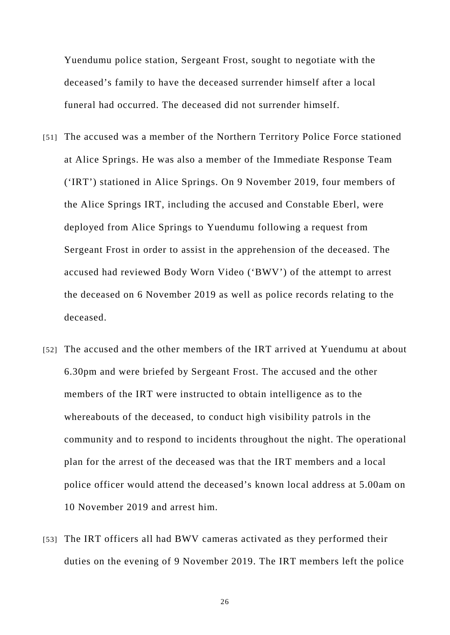Yuendumu police station, Sergeant Frost, sought to negotiate with the deceased's family to have the deceased surrender himself after a local funeral had occurred. The deceased did not surrender himself.

- [51] The accused was a member of the Northern Territory Police Force stationed at Alice Springs. He was also a member of the Immediate Response Team ('IRT') stationed in Alice Springs. On 9 November 2019, four members of the Alice Springs IRT, including the accused and Constable Eberl, were deployed from Alice Springs to Yuendumu following a request from Sergeant Frost in order to assist in the apprehension of the deceased. The accused had reviewed Body Worn Video ('BWV') of the attempt to arrest the deceased on 6 November 2019 as well as police records relating to the deceased.
- [52] The accused and the other members of the IRT arrived at Yuendumu at about 6.30pm and were briefed by Sergeant Frost. The accused and the other members of the IRT were instructed to obtain intelligence as to the whereabouts of the deceased, to conduct high visibility patrols in the community and to respond to incidents throughout the night. The operational plan for the arrest of the deceased was that the IRT members and a local police officer would attend the deceased's known local address at 5.00am on 10 November 2019 and arrest him.
- [53] The IRT officers all had BWV cameras activated as they performed their duties on the evening of 9 November 2019. The IRT members left the police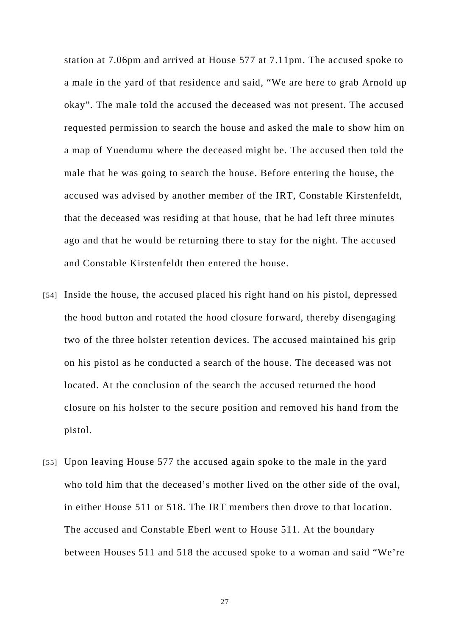station at 7.06pm and arrived at House 577 at 7.11pm. The accused spoke to a male in the yard of that residence and said, "We are here to grab Arnold up okay". The male told the accused the deceased was not present. The accused requested permission to search the house and asked the male to show him on a map of Yuendumu where the deceased might be. The accused then told the male that he was going to search the house. Before entering the house, the accused was advised by another member of the IRT, Constable Kirstenfeldt, that the deceased was residing at that house, that he had left three minutes ago and that he would be returning there to stay for the night. The accused and Constable Kirstenfeldt then entered the house.

- [54] Inside the house, the accused placed his right hand on his pistol, depressed the hood button and rotated the hood closure forward, thereby disengaging two of the three holster retention devices. The accused maintained his grip on his pistol as he conducted a search of the house. The deceased was not located. At the conclusion of the search the accused returned the hood closure on his holster to the secure position and removed his hand from the pistol.
- [55] Upon leaving House 577 the accused again spoke to the male in the yard who told him that the deceased's mother lived on the other side of the oval, in either House 511 or 518. The IRT members then drove to that location. The accused and Constable Eberl went to House 511. At the boundary between Houses 511 and 518 the accused spoke to a woman and said "We're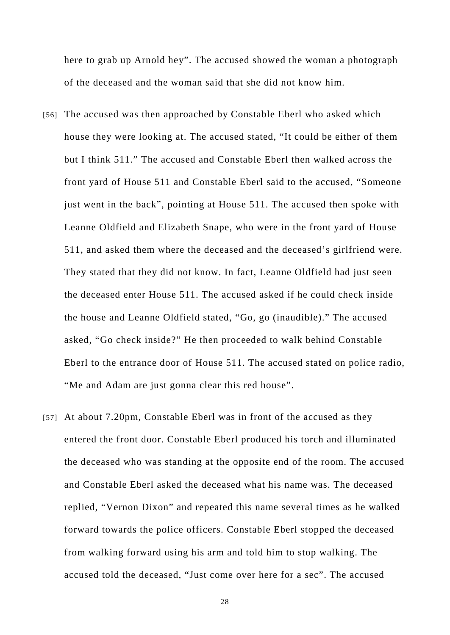here to grab up Arnold hey". The accused showed the woman a photograph of the deceased and the woman said that she did not know him.

- [56] The accused was then approached by Constable Eberl who asked which house they were looking at. The accused stated, "It could be either of them but I think 511." The accused and Constable Eberl then walked across the front yard of House 511 and Constable Eberl said to the accused, "Someone just went in the back", pointing at House 511. The accused then spoke with Leanne Oldfield and Elizabeth Snape, who were in the front yard of House 511, and asked them where the deceased and the deceased's girlfriend were. They stated that they did not know. In fact, Leanne Oldfield had just seen the deceased enter House 511. The accused asked if he could check inside the house and Leanne Oldfield stated, "Go, go (inaudible)." The accused asked, "Go check inside?" He then proceeded to walk behind Constable Eberl to the entrance door of House 511. The accused stated on police radio, "Me and Adam are just gonna clear this red house".
- [57] At about 7.20pm, Constable Eberl was in front of the accused as they entered the front door. Constable Eberl produced his torch and illuminated the deceased who was standing at the opposite end of the room. The accused and Constable Eberl asked the deceased what his name was. The deceased replied, "Vernon Dixon" and repeated this name several times as he walked forward towards the police officers. Constable Eberl stopped the deceased from walking forward using his arm and told him to stop walking. The accused told the deceased, "Just come over here for a sec". The accused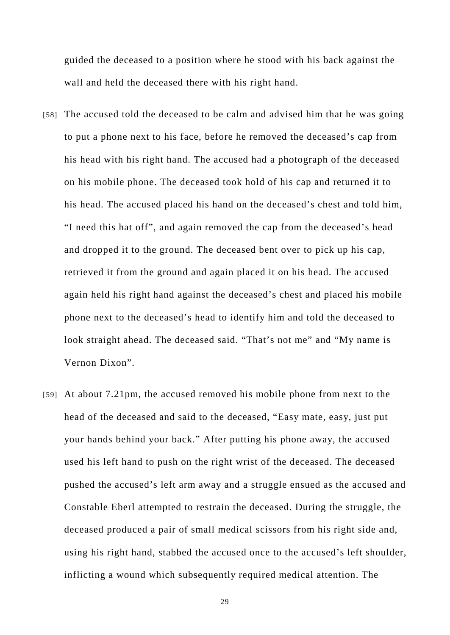guided the deceased to a position where he stood with his back against the wall and held the deceased there with his right hand.

- [58] The accused told the deceased to be calm and advised him that he was going to put a phone next to his face, before he removed the deceased's cap from his head with his right hand. The accused had a photograph of the deceased on his mobile phone. The deceased took hold of his cap and returned it to his head. The accused placed his hand on the deceased's chest and told him, "I need this hat off", and again removed the cap from the deceased's head and dropped it to the ground. The deceased bent over to pick up his cap, retrieved it from the ground and again placed it on his head. The accused again held his right hand against the deceased's chest and placed his mobile phone next to the deceased's head to identify him and told the deceased to look straight ahead. The deceased said. "That's not me" and "My name is Vernon Dixon".
- [59] At about 7.21pm, the accused removed his mobile phone from next to the head of the deceased and said to the deceased, "Easy mate, easy, just put your hands behind your back." After putting his phone away, the accused used his left hand to push on the right wrist of the deceased. The deceased pushed the accused's left arm away and a struggle ensued as the accused and Constable Eberl attempted to restrain the deceased. During the struggle, the deceased produced a pair of small medical scissors from his right side and, using his right hand, stabbed the accused once to the accused's left shoulder, inflicting a wound which subsequently required medical attention. The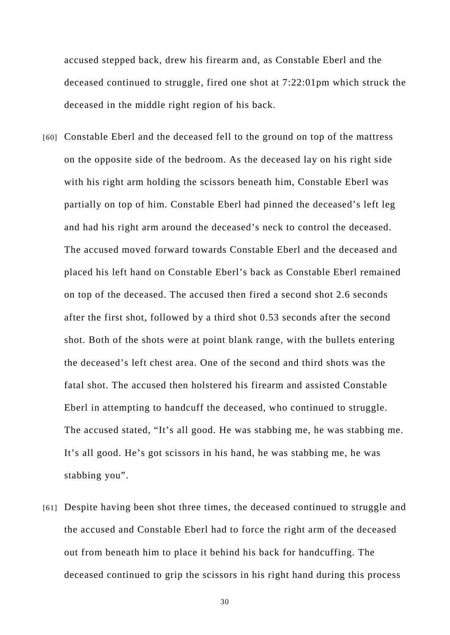accused stepped back, drew his firearm and, as Constable Eberl and the deceased continued to struggle, fired one shot at 7:22:01pm which struck the deceased in the middle right region of his back.

- [60] Constable Eberl and the deceased fell to the ground on top of the mattress on the opposite side of the bedroom. As the deceased lay on his right side with his right arm holding the scissors beneath him, Constable Eberl was partially on top of him. Constable Eberl had pinned the deceased's left leg and had his right arm around the deceased's neck to control the deceased. The accused moved forward towards Constable Eberl and the deceased and placed his left hand on Constable Eberl's back as Constable Eberl remained on top of the deceased. The accused then fired a second shot 2.6 seconds after the first shot, followed by a third shot 0.53 seconds after the second shot. Both of the shots were at point blank range, with the bullets entering the deceased's left chest area. One of the second and third shots was the fatal shot. The accused then holstered his firearm and assisted Constable Eberl in attempting to handcuff the deceased, who continued to struggle. The accused stated, "It's all good. He was stabbing me, he was stabbing me. It's all good. He's got scissors in his hand, he was stabbing me, he was stabbing you".
- [61] Despite having been shot three times, the deceased continued to struggle and the accused and Constable Eberl had to force the right arm of the deceased out from beneath him to place it behind his back for handcuffing. The deceased continued to grip the scissors in his right hand during this process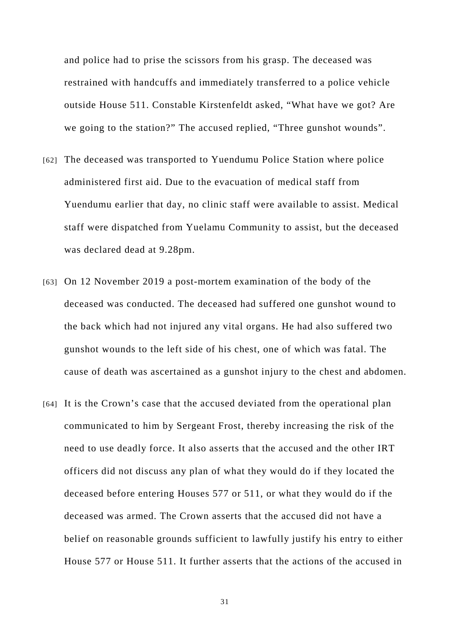and police had to prise the scissors from his grasp. The deceased was restrained with handcuffs and immediately transferred to a police vehicle outside House 511. Constable Kirstenfeldt asked, "What have we got? Are we going to the station?" The accused replied, "Three gunshot wounds".

- [62] The deceased was transported to Yuendumu Police Station where police administered first aid. Due to the evacuation of medical staff from Yuendumu earlier that day, no clinic staff were available to assist. Medical staff were dispatched from Yuelamu Community to assist, but the deceased was declared dead at 9.28pm.
- [63] On 12 November 2019 a post-mortem examination of the body of the deceased was conducted. The deceased had suffered one gunshot wound to the back which had not injured any vital organs. He had also suffered two gunshot wounds to the left side of his chest, one of which was fatal. The cause of death was ascertained as a gunshot injury to the chest and abdomen.
- [64] It is the Crown's case that the accused deviated from the operational plan communicated to him by Sergeant Frost, thereby increasing the risk of the need to use deadly force. It also asserts that the accused and the other IRT officers did not discuss any plan of what they would do if they located the deceased before entering Houses 577 or 511, or what they would do if the deceased was armed. The Crown asserts that the accused did not have a belief on reasonable grounds sufficient to lawfully justify his entry to either House 577 or House 511. It further asserts that the actions of the accused in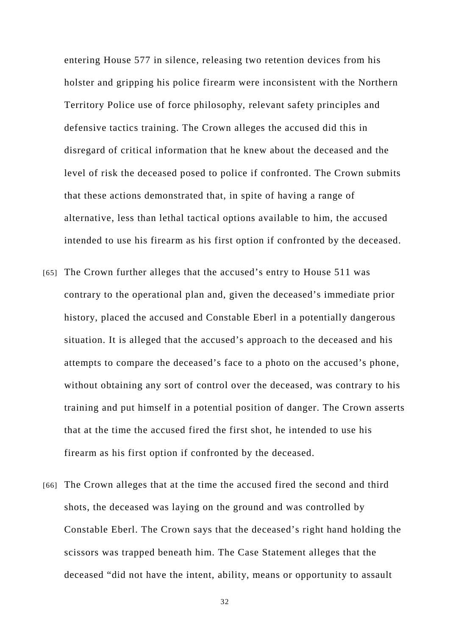entering House 577 in silence, releasing two retention devices from his holster and gripping his police firearm were inconsistent with the Northern Territory Police use of force philosophy, relevant safety principles and defensive tactics training. The Crown alleges the accused did this in disregard of critical information that he knew about the deceased and the level of risk the deceased posed to police if confronted. The Crown submits that these actions demonstrated that, in spite of having a range of alternative, less than lethal tactical options available to him, the accused intended to use his firearm as his first option if confronted by the deceased.

- [65] The Crown further alleges that the accused's entry to House 511 was contrary to the operational plan and, given the deceased's immediate prior history, placed the accused and Constable Eberl in a potentially dangerous situation. It is alleged that the accused's approach to the deceased and his attempts to compare the deceased's face to a photo on the accused's phone, without obtaining any sort of control over the deceased, was contrary to his training and put himself in a potential position of danger. The Crown asserts that at the time the accused fired the first shot, he intended to use his firearm as his first option if confronted by the deceased.
- [66] The Crown alleges that at the time the accused fired the second and third shots, the deceased was laying on the ground and was controlled by Constable Eberl. The Crown says that the deceased's right hand holding the scissors was trapped beneath him. The Case Statement alleges that the deceased "did not have the intent, ability, means or opportunity to assault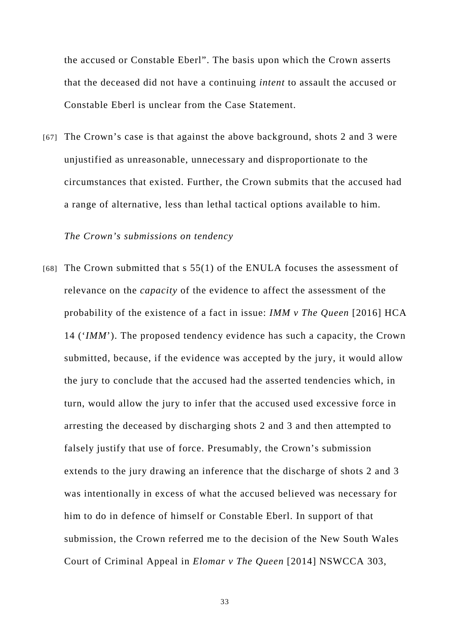the accused or Constable Eberl". The basis upon which the Crown asserts that the deceased did not have a continuing *intent* to assault the accused or Constable Eberl is unclear from the Case Statement.

[67] The Crown's case is that against the above background, shots 2 and 3 were unjustified as unreasonable, unnecessary and disproportionate to the circumstances that existed. Further, the Crown submits that the accused had a range of alternative, less than lethal tactical options available to him.

*The Crown's submissions on tendency* 

[68] The Crown submitted that s 55(1) of the ENULA focuses the assessment of relevance on the *capacity* of the evidence to affect the assessment of the probability of the existence of a fact in issue: *IMM v The Queen* [2016] HCA 14 ('*IMM*'). The proposed tendency evidence has such a capacity, the Crown submitted, because, if the evidence was accepted by the jury, it would allow the jury to conclude that the accused had the asserted tendencies which, in turn, would allow the jury to infer that the accused used excessive force in arresting the deceased by discharging shots 2 and 3 and then attempted to falsely justify that use of force. Presumably, the Crown's submission extends to the jury drawing an inference that the discharge of shots 2 and 3 was intentionally in excess of what the accused believed was necessary for him to do in defence of himself or Constable Eberl. In support of that submission, the Crown referred me to the decision of the New South Wales Court of Criminal Appeal in *Elomar v The Queen* [2014] NSWCCA 303,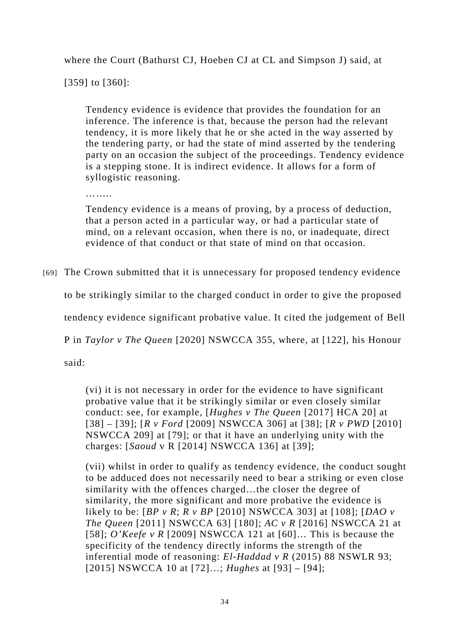where the Court (Bathurst CJ, Hoeben CJ at CL and Simpson J) said, at

[359] to [360]:

Tendency evidence is evidence that provides the foundation for an inference. The inference is that, because the person had the relevant tendency, it is more likely that he or she acted in the way asserted by the tendering party, or had the state of mind asserted by the tendering party on an occasion the subject of the proceedings. Tendency evidence is a stepping stone. It is indirect evidence. It allows for a form of syllogistic reasoning.

……..

Tendency evidence is a means of proving, by a process of deduction, that a person acted in a particular way, or had a particular state of mind, on a relevant occasion, when there is no, or inadequate, direct evidence of that conduct or that state of mind on that occasion.

[69] The Crown submitted that it is unnecessary for proposed tendency evidence

to be strikingly similar to the charged conduct in order to give the proposed

tendency evidence significant probative value. It cited the judgement of Bell

P in *Taylor v The Queen* [2020] NSWCCA 355, where, at [122], his Honour

said:

(vi) it is not necessary in order for the evidence to have significant probative value that it be strikingly similar or even closely similar conduct: see, for example, [*Hughes v The Queen* [2017] HCA 20] at [38] – [39]; [*R v Ford* [2009] NSWCCA 306] at [38]; [*R v PWD* [2010] NSWCCA 209] at [79]; or that it have an underlying unity with the charges: [*Saoud* v R [2014] NSWCCA 136] at [39];

(vii) whilst in order to qualify as tendency evidence, the conduct sought to be adduced does not necessarily need to bear a striking or even close similarity with the offences charged…the closer the degree of similarity, the more significant and more probative the evidence is likely to be: [*BP v R*; *R v BP* [2010] NSWCCA 303] at [108]; [*DAO v The Queen* [2011] NSWCCA 63] [180]; *AC v R* [2016] NSWCCA 21 at [58]; *O'Keefe v R* [2009] NSWCCA 121 at [60]… This is because the specificity of the tendency directly informs the strength of the inferential mode of reasoning: *El-Haddad v R* (2015) 88 NSWLR 93; [2015] NSWCCA 10 at [72]…; *Hughes* at [93] – [94];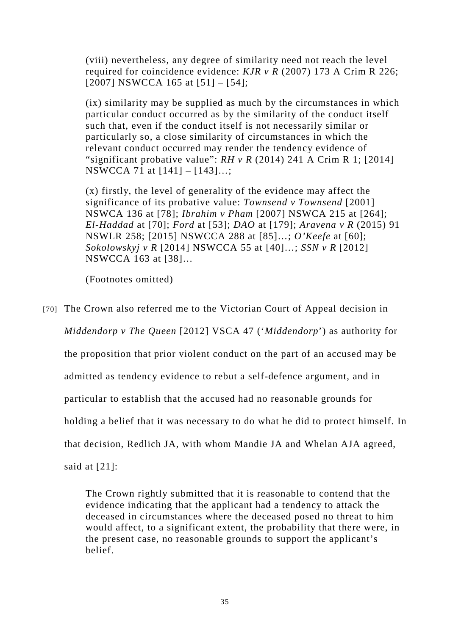(viii) nevertheless, any degree of similarity need not reach the level required for coincidence evidence: *KJR v R* (2007) 173 A Crim R 226; [2007] NSWCCA 165 at [51] – [54];

(ix) similarity may be supplied as much by the circumstances in which particular conduct occurred as by the similarity of the conduct itself such that, even if the conduct itself is not necessarily similar or particularly so, a close similarity of circumstances in which the relevant conduct occurred may render the tendency evidence of "significant probative value": *RH v R* (2014) 241 A Crim R 1; [2014] NSWCCA 71 at [141] – [143]…;

(x) firstly, the level of generality of the evidence may affect the significance of its probative value: *Townsend v Townsend* [2001] NSWCA 136 at [78]; *Ibrahim v Pham* [2007] NSWCA 215 at [264]; *El-Haddad* at [70]; *Ford* at [53]; *DAO* at [179]; *Aravena v R* (2015) 91 NSWLR 258; [2015] NSWCCA 288 at [85]…; *O'Keefe* at [60]; *Sokolowskyj v R* [2014] NSWCCA 55 at [40]…; *SSN v R* [2012] NSWCCA 163 at [38]…

(Footnotes omitted)

[70] The Crown also referred me to the Victorian Court of Appeal decision in *Middendorp v The Queen* [2012] VSCA 47 ('*Middendorp*') as authority for the proposition that prior violent conduct on the part of an accused may be admitted as tendency evidence to rebut a self-defence argument, and in particular to establish that the accused had no reasonable grounds for holding a belief that it was necessary to do what he did to protect himself. In that decision, Redlich JA, with whom Mandie JA and Whelan AJA agreed, said at  $[21]$ :

> The Crown rightly submitted that it is reasonable to contend that the evidence indicating that the applicant had a tendency to attack the deceased in circumstances where the deceased posed no threat to him would affect, to a significant extent, the probability that there were, in the present case, no reasonable grounds to support the applicant's belief.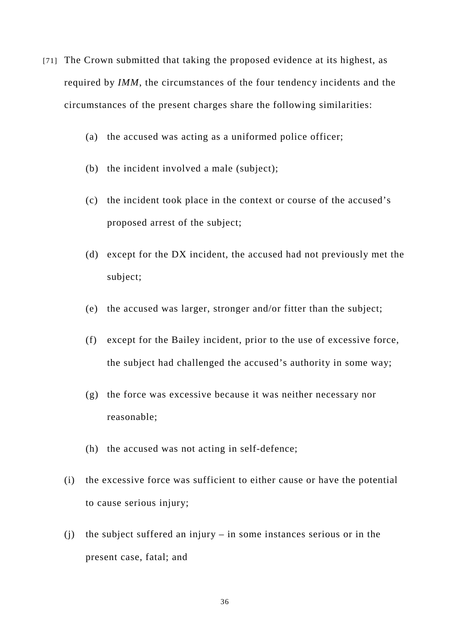- [71] The Crown submitted that taking the proposed evidence at its highest, as required by *IMM*, the circumstances of the four tendency incidents and the circumstances of the present charges share the following similarities:
	- (a) the accused was acting as a uniformed police officer;
	- (b) the incident involved a male (subject);
	- (c) the incident took place in the context or course of the accused's proposed arrest of the subject;
	- (d) except for the DX incident, the accused had not previously met the subject;
	- (e) the accused was larger, stronger and/or fitter than the subject;
	- (f) except for the Bailey incident, prior to the use of excessive force, the subject had challenged the accused's authority in some way;
	- (g) the force was excessive because it was neither necessary nor reasonable;
	- (h) the accused was not acting in self-defence;
	- (i) the excessive force was sufficient to either cause or have the potential to cause serious injury;
	- (j) the subject suffered an injury in some instances serious or in the present case, fatal; and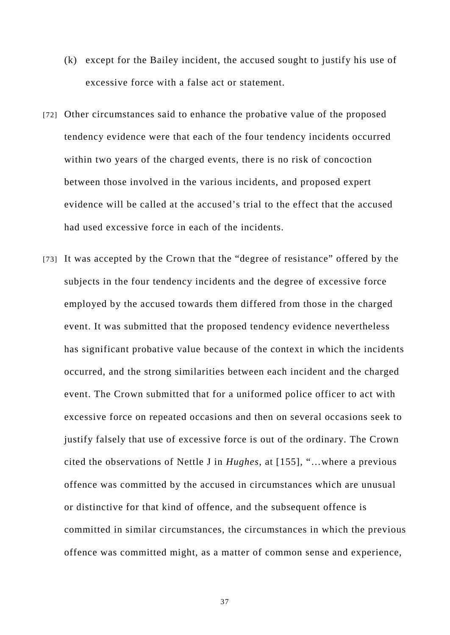- (k) except for the Bailey incident, the accused sought to justify his use of excessive force with a false act or statement.
- [72] Other circumstances said to enhance the probative value of the proposed tendency evidence were that each of the four tendency incidents occurred within two years of the charged events, there is no risk of concoction between those involved in the various incidents, and proposed expert evidence will be called at the accused's trial to the effect that the accused had used excessive force in each of the incidents.
- [73] It was accepted by the Crown that the "degree of resistance" offered by the subjects in the four tendency incidents and the degree of excessive force employed by the accused towards them differed from those in the charged event. It was submitted that the proposed tendency evidence nevertheless has significant probative value because of the context in which the incidents occurred, and the strong similarities between each incident and the charged event. The Crown submitted that for a uniformed police officer to act with excessive force on repeated occasions and then on several occasions seek to justify falsely that use of excessive force is out of the ordinary. The Crown cited the observations of Nettle J in *Hughes*, at [155], "…where a previous offence was committed by the accused in circumstances which are unusual or distinctive for that kind of offence, and the subsequent offence is committed in similar circumstances, the circumstances in which the previous offence was committed might, as a matter of common sense and experience,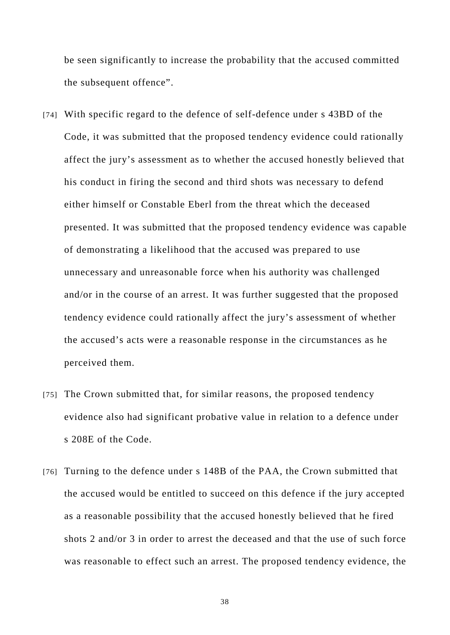be seen significantly to increase the probability that the accused committed the subsequent offence".

- [74] With specific regard to the defence of self-defence under s 43BD of the Code, it was submitted that the proposed tendency evidence could rationally affect the jury's assessment as to whether the accused honestly believed that his conduct in firing the second and third shots was necessary to defend either himself or Constable Eberl from the threat which the deceased presented. It was submitted that the proposed tendency evidence was capable of demonstrating a likelihood that the accused was prepared to use unnecessary and unreasonable force when his authority was challenged and/or in the course of an arrest. It was further suggested that the proposed tendency evidence could rationally affect the jury's assessment of whether the accused's acts were a reasonable response in the circumstances as he perceived them.
- [75] The Crown submitted that, for similar reasons, the proposed tendency evidence also had significant probative value in relation to a defence under s 208E of the Code.
- [76] Turning to the defence under s 148B of the PAA, the Crown submitted that the accused would be entitled to succeed on this defence if the jury accepted as a reasonable possibility that the accused honestly believed that he fired shots 2 and/or 3 in order to arrest the deceased and that the use of such force was reasonable to effect such an arrest. The proposed tendency evidence, the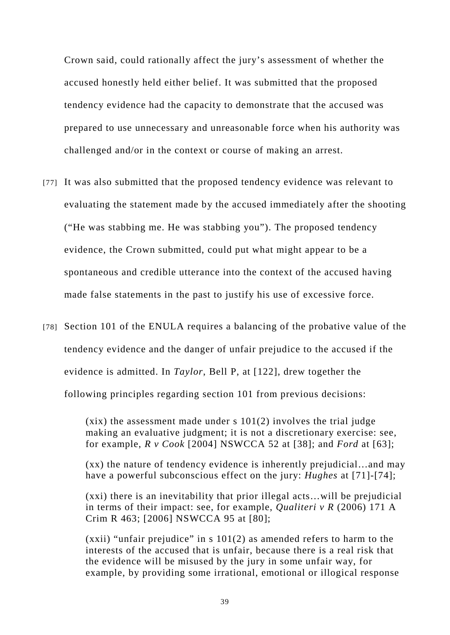Crown said, could rationally affect the jury's assessment of whether the accused honestly held either belief. It was submitted that the proposed tendency evidence had the capacity to demonstrate that the accused was prepared to use unnecessary and unreasonable force when his authority was challenged and/or in the context or course of making an arrest.

- [77] It was also submitted that the proposed tendency evidence was relevant to evaluating the statement made by the accused immediately after the shooting ("He was stabbing me. He was stabbing you"). The proposed tendency evidence, the Crown submitted, could put what might appear to be a spontaneous and credible utterance into the context of the accused having made false statements in the past to justify his use of excessive force.
- [78] Section 101 of the ENULA requires a balancing of the probative value of the tendency evidence and the danger of unfair prejudice to the accused if the evidence is admitted. In *Taylor*, Bell P, at [122], drew together the following principles regarding section 101 from previous decisions:

 $(xix)$  the assessment made under s  $101(2)$  involves the trial judge making an evaluative judgment; it is not a discretionary exercise: see, for example, *R v Cook* [2004] NSWCCA 52 at [38]; and *Ford* at [63];

(xx) the nature of tendency evidence is inherently prejudicial…and may have a powerful subconscious effect on the jury: *Hughes* at [71]-[74];

(xxi) there is an inevitability that prior illegal acts…will be prejudicial in terms of their impact: see, for example, *Qualiteri v R* (2006) 171 A Crim R 463; [2006] NSWCCA 95 at [80];

(xxii) "unfair prejudice" in s 101(2) as amended refers to harm to the interests of the accused that is unfair, because there is a real risk that the evidence will be misused by the jury in some unfair way, for example, by providing some irrational, emotional or illogical response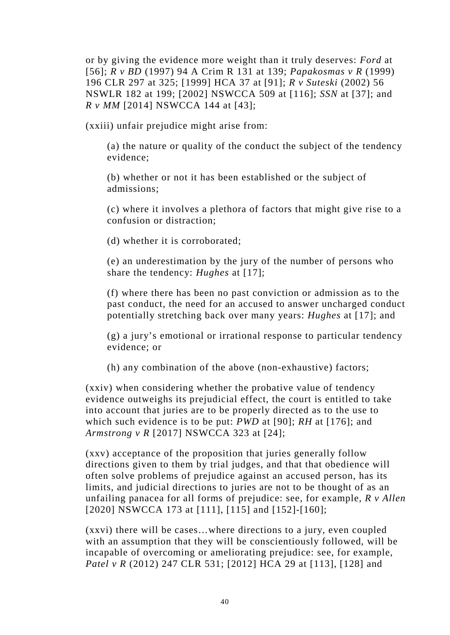or by giving the evidence more weight than it truly deserves: *Ford* at [56]; *R v BD* (1997) 94 A Crim R 131 at 139; *Papakosmas v R* (1999) 196 CLR 297 at 325; [1999] HCA 37 at [91]; *R v Suteski* (2002) 56 NSWLR 182 at 199; [2002] NSWCCA 509 at [116]; *SSN* at [37]; and *R v MM* [2014] NSWCCA 144 at [43];

(xxiii) unfair prejudice might arise from:

(a) the nature or quality of the conduct the subject of the tendency evidence;

(b) whether or not it has been established or the subject of admissions;

(c) where it involves a plethora of factors that might give rise to a confusion or distraction;

(d) whether it is corroborated;

(e) an underestimation by the jury of the number of persons who share the tendency: *Hughes* at [17];

(f) where there has been no past conviction or admission as to the past conduct, the need for an accused to answer uncharged conduct potentially stretching back over many years: *Hughes* at [17]; and

(g) a jury's emotional or irrational response to particular tendency evidence; or

(h) any combination of the above (non-exhaustive) factors;

(xxiv) when considering whether the probative value of tendency evidence outweighs its prejudicial effect, the court is entitled to take into account that juries are to be properly directed as to the use to which such evidence is to be put: *PWD* at [90]; *RH* at [176]; and *Armstrong v R* [2017] NSWCCA 323 at [24];

(xxv) acceptance of the proposition that juries generally follow directions given to them by trial judges, and that that obedience will often solve problems of prejudice against an accused person, has its limits, and judicial directions to juries are not to be thought of as an unfailing panacea for all forms of prejudice: see, for example, *R v Allen* [2020] NSWCCA 173 at [111], [115] and [152]-[160];

(xxvi) there will be cases…where directions to a jury, even coupled with an assumption that they will be conscientiously followed, will be incapable of overcoming or ameliorating prejudice: see, for example, *Patel v R* (2012) 247 CLR 531; [2012] HCA 29 at [113], [128] and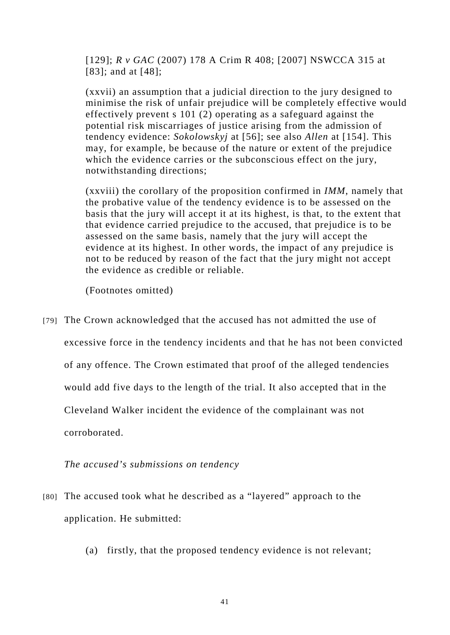[129]; *R v GAC* (2007) 178 A Crim R 408; [2007] NSWCCA 315 at [83]; and at [48]:

(xxvii) an assumption that a judicial direction to the jury designed to minimise the risk of unfair prejudice will be completely effective would effectively prevent s 101 (2) operating as a safeguard against the potential risk miscarriages of justice arising from the admission of tendency evidence: *Sokolowskyj* at [56]; see also *Allen* at [154]. This may, for example, be because of the nature or extent of the prejudice which the evidence carries or the subconscious effect on the jury, notwithstanding directions;

(xxviii) the corollary of the proposition confirmed in *IMM*, namely that the probative value of the tendency evidence is to be assessed on the basis that the jury will accept it at its highest, is that, to the extent that that evidence carried prejudice to the accused, that prejudice is to be assessed on the same basis, namely that the jury will accept the evidence at its highest. In other words, the impact of any prejudice is not to be reduced by reason of the fact that the jury might not accept the evidence as credible or reliable.

(Footnotes omitted)

[79] The Crown acknowledged that the accused has not admitted the use of excessive force in the tendency incidents and that he has not been convicted of any offence. The Crown estimated that proof of the alleged tendencies would add five days to the length of the trial. It also accepted that in the Cleveland Walker incident the evidence of the complainant was not corroborated.

*The accused's submissions on tendency* 

- [80] The accused took what he described as a "layered" approach to the application. He submitted:
	- (a) firstly, that the proposed tendency evidence is not relevant;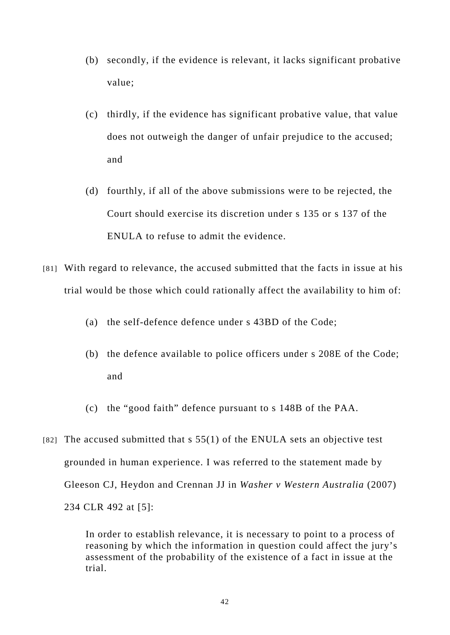- (b) secondly, if the evidence is relevant, it lacks significant probative value;
- (c) thirdly, if the evidence has significant probative value, that value does not outweigh the danger of unfair prejudice to the accused; and
- (d) fourthly, if all of the above submissions were to be rejected, the Court should exercise its discretion under s 135 or s 137 of the ENULA to refuse to admit the evidence.
- [81] With regard to relevance, the accused submitted that the facts in issue at his trial would be those which could rationally affect the availability to him of:
	- (a) the self-defence defence under s 43BD of the Code;
	- (b) the defence available to police officers under s 208E of the Code; and
	- (c) the "good faith" defence pursuant to s 148B of the PAA.
- [82] The accused submitted that  $s$  55(1) of the ENULA sets an objective test grounded in human experience. I was referred to the statement made by Gleeson CJ, Heydon and Crennan JJ in *Washer v Western Australia* (2007) 234 CLR 492 at [5]:

In order to establish relevance, it is necessary to point to a process of reasoning by which the information in question could affect the jury's assessment of the probability of the existence of a fact in issue at the trial.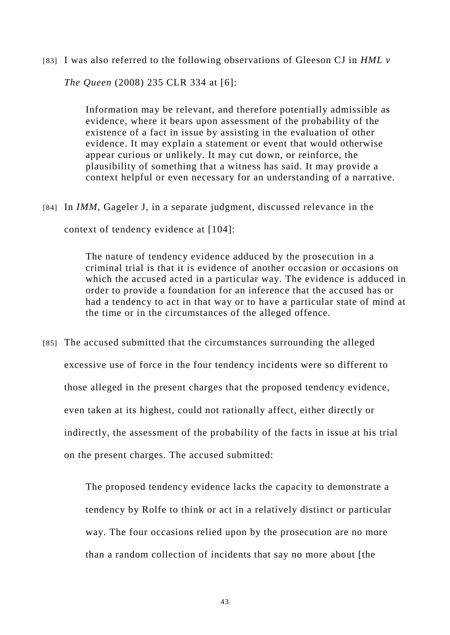[83] I was also referred to the following observations of Gleeson CJ in *HML v* 

*The Queen* (2008) 235 CLR 334 at [6]:

Information may be relevant, and therefore potentially admissible as evidence, where it bears upon assessment of the probability of the existence of a fact in issue by assisting in the evaluation of other evidence. It may explain a statement or event that would otherwise appear curious or unlikely. It may cut down, or reinforce, the plausibility of something that a witness has said. It may provide a context helpful or even necessary for an understanding of a narrative.

[84] In *IMM*, Gageler J, in a separate judgment, discussed relevance in the context of tendency evidence at [104]:

> The nature of tendency evidence adduced by the prosecution in a criminal trial is that it is evidence of another occasion or occasions on which the accused acted in a particular way. The evidence is adduced in order to provide a foundation for an inference that the accused has or had a tendency to act in that way or to have a particular state of mind at the time or in the circumstances of the alleged offence.

[85] The accused submitted that the circumstances surrounding the alleged excessive use of force in the four tendency incidents were so different to those alleged in the present charges that the proposed tendency evidence, even taken at its highest, could not rationally affect, either directly or indirectly, the assessment of the probability of the facts in issue at his trial on the present charges. The accused submitted:

> The proposed tendency evidence lacks the capacity to demonstrate a tendency by Rolfe to think or act in a relatively distinct or particular way. The four occasions relied upon by the prosecution are no more than a random collection of incidents that say no more about [the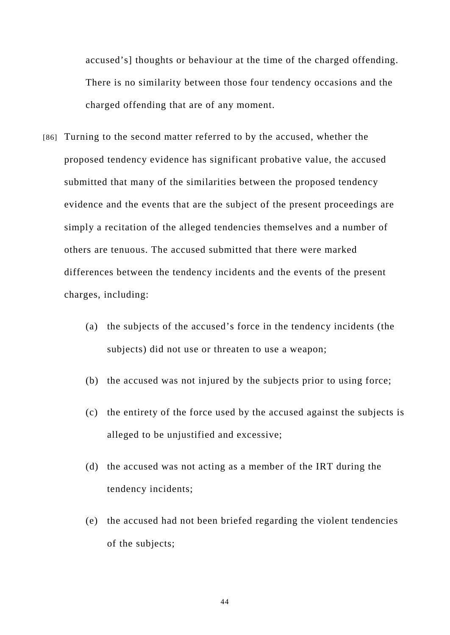accused's] thoughts or behaviour at the time of the charged offending. There is no similarity between those four tendency occasions and the charged offending that are of any moment.

- [86] Turning to the second matter referred to by the accused, whether the proposed tendency evidence has significant probative value, the accused submitted that many of the similarities between the proposed tendency evidence and the events that are the subject of the present proceedings are simply a recitation of the alleged tendencies themselves and a number of others are tenuous. The accused submitted that there were marked differences between the tendency incidents and the events of the present charges, including:
	- (a) the subjects of the accused's force in the tendency incidents (the subjects) did not use or threaten to use a weapon;
	- (b) the accused was not injured by the subjects prior to using force;
	- (c) the entirety of the force used by the accused against the subjects is alleged to be unjustified and excessive;
	- (d) the accused was not acting as a member of the IRT during the tendency incidents;
	- (e) the accused had not been briefed regarding the violent tendencies of the subjects;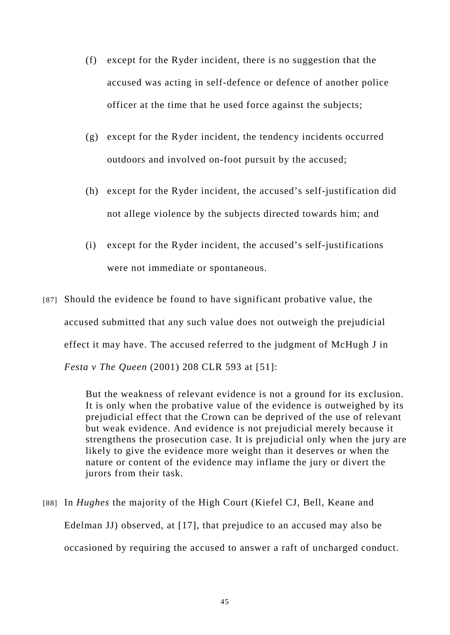- (f) except for the Ryder incident, there is no suggestion that the accused was acting in self-defence or defence of another police officer at the time that he used force against the subjects;
- (g) except for the Ryder incident, the tendency incidents occurred outdoors and involved on-foot pursuit by the accused;
- (h) except for the Ryder incident, the accused's self-justification did not allege violence by the subjects directed towards him; and
- (i) except for the Ryder incident, the accused's self-justifications were not immediate or spontaneous.
- [87] Should the evidence be found to have significant probative value, the accused submitted that any such value does not outweigh the prejudicial effect it may have. The accused referred to the judgment of McHugh J in *Festa v The Queen* (2001) 208 CLR 593 at [51]:

But the weakness of relevant evidence is not a ground for its exclusion. It is only when the probative value of the evidence is outweighed by its prejudicial effect that the Crown can be deprived of the use of relevant but weak evidence. And evidence is not prejudicial merely because it strengthens the prosecution case. It is prejudicial only when the jury are likely to give the evidence more weight than it deserves or when the nature or content of the evidence may inflame the jury or divert the jurors from their task.

[88] In *Hughes* the majority of the High Court (Kiefel CJ, Bell, Keane and Edelman JJ) observed, at [17], that prejudice to an accused may also be occasioned by requiring the accused to answer a raft of uncharged conduct.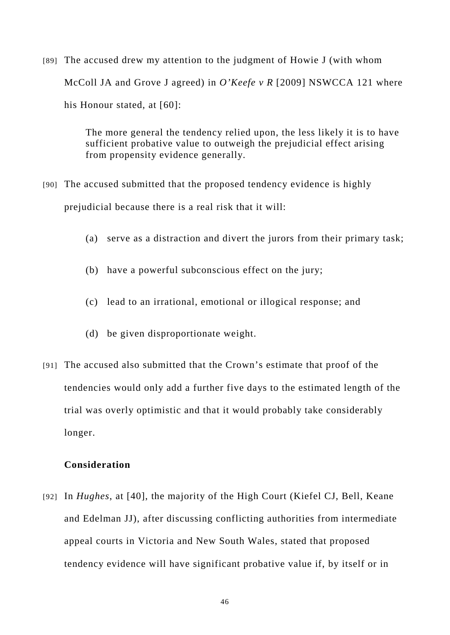[89] The accused drew my attention to the judgment of Howie J (with whom McColl JA and Grove J agreed) in *O'Keefe v R* [2009] NSWCCA 121 where his Honour stated, at [60]:

> The more general the tendency relied upon, the less likely it is to have sufficient probative value to outweigh the prejudicial effect arising from propensity evidence generally.

- [90] The accused submitted that the proposed tendency evidence is highly prejudicial because there is a real risk that it will:
	- (a) serve as a distraction and divert the jurors from their primary task;
	- (b) have a powerful subconscious effect on the jury;
	- (c) lead to an irrational, emotional or illogical response; and
	- (d) be given disproportionate weight.
- [91] The accused also submitted that the Crown's estimate that proof of the tendencies would only add a further five days to the estimated length of the trial was overly optimistic and that it would probably take considerably longer.

## **Consideration**

[92] In *Hughes*, at [40], the majority of the High Court (Kiefel CJ, Bell, Keane and Edelman JJ), after discussing conflicting authorities from intermediate appeal courts in Victoria and New South Wales, stated that proposed tendency evidence will have significant probative value if, by itself or in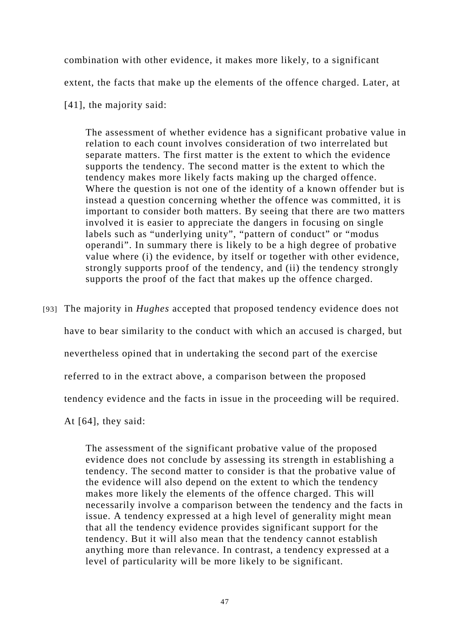combination with other evidence, it makes more likely, to a significant extent, the facts that make up the elements of the offence charged. Later, at [41], the majority said:

The assessment of whether evidence has a significant probative value in relation to each count involves consideration of two interrelated but separate matters. The first matter is the extent to which the evidence supports the tendency. The second matter is the extent to which the tendency makes more likely facts making up the charged offence. Where the question is not one of the identity of a known offender but is instead a question concerning whether the offence was committed, it is important to consider both matters. By seeing that there are two matters involved it is easier to appreciate the dangers in focusing on single labels such as "underlying unity", "pattern of conduct" or "modus operandi". In summary there is likely to be a high degree of probative value where (i) the evidence, by itself or together with other evidence, strongly supports proof of the tendency, and (ii) the tendency strongly supports the proof of the fact that makes up the offence charged.

[93] The majority in *Hughes* accepted that proposed tendency evidence does not

have to bear similarity to the conduct with which an accused is charged, but

nevertheless opined that in undertaking the second part of the exercise

referred to in the extract above, a comparison between the proposed

tendency evidence and the facts in issue in the proceeding will be required.

At [64], they said:

The assessment of the significant probative value of the proposed evidence does not conclude by assessing its strength in establishing a tendency. The second matter to consider is that the probative value of the evidence will also depend on the extent to which the tendency makes more likely the elements of the offence charged. This will necessarily involve a comparison between the tendency and the facts in issue. A tendency expressed at a high level of generality might mean that all the tendency evidence provides significant support for the tendency. But it will also mean that the tendency cannot establish anything more than relevance. In contrast, a tendency expressed at a level of particularity will be more likely to be significant.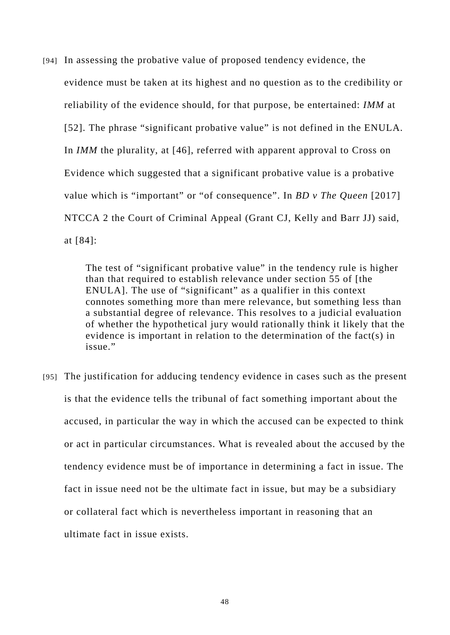[94] In assessing the probative value of proposed tendency evidence, the evidence must be taken at its highest and no question as to the credibility or reliability of the evidence should, for that purpose, be entertained: *IMM* at [52]. The phrase "significant probative value" is not defined in the ENULA. In *IMM* the plurality, at [46], referred with apparent approval to Cross on Evidence which suggested that a significant probative value is a probative value which is "important" or "of consequence". In *BD v The Queen* [2017] NTCCA 2 the Court of Criminal Appeal (Grant CJ, Kelly and Barr JJ) said, at [84]:

> The test of "significant probative value" in the tendency rule is higher than that required to establish relevance under section 55 of [the ENULA]. The use of "significant" as a qualifier in this context connotes something more than mere relevance, but something less than a substantial degree of relevance. This resolves to a judicial evaluation of whether the hypothetical jury would rationally think it likely that the evidence is important in relation to the determination of the fact(s) in issue."

[95] The justification for adducing tendency evidence in cases such as the present is that the evidence tells the tribunal of fact something important about the accused, in particular the way in which the accused can be expected to think or act in particular circumstances. What is revealed about the accused by the tendency evidence must be of importance in determining a fact in issue. The fact in issue need not be the ultimate fact in issue, but may be a subsidiary or collateral fact which is nevertheless important in reasoning that an ultimate fact in issue exists.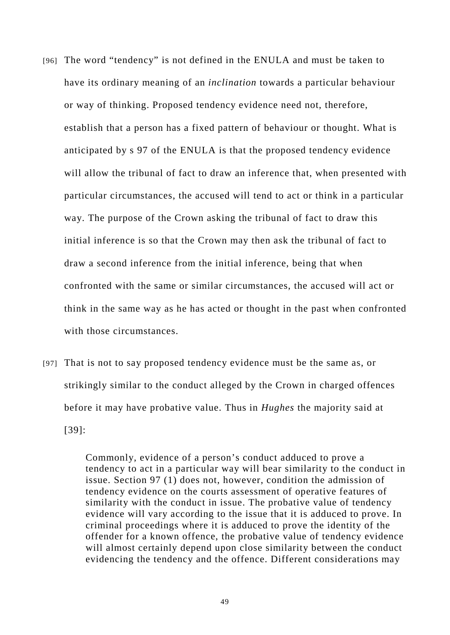- [96] The word "tendency" is not defined in the ENULA and must be taken to have its ordinary meaning of an *inclination* towards a particular behaviour or way of thinking. Proposed tendency evidence need not, therefore, establish that a person has a fixed pattern of behaviour or thought. What is anticipated by s 97 of the ENULA is that the proposed tendency evidence will allow the tribunal of fact to draw an inference that, when presented with particular circumstances, the accused will tend to act or think in a particular way. The purpose of the Crown asking the tribunal of fact to draw this initial inference is so that the Crown may then ask the tribunal of fact to draw a second inference from the initial inference, being that when confronted with the same or similar circumstances, the accused will act or think in the same way as he has acted or thought in the past when confronted with those circumstances.
- [97] That is not to say proposed tendency evidence must be the same as, or strikingly similar to the conduct alleged by the Crown in charged offences before it may have probative value. Thus in *Hughes* the majority said at [39]:

Commonly, evidence of a person's conduct adduced to prove a tendency to act in a particular way will bear similarity to the conduct in issue. Section 97 (1) does not, however, condition the admission of tendency evidence on the courts assessment of operative features of similarity with the conduct in issue. The probative value of tendency evidence will vary according to the issue that it is adduced to prove. In criminal proceedings where it is adduced to prove the identity of the offender for a known offence, the probative value of tendency evidence will almost certainly depend upon close similarity between the conduct evidencing the tendency and the offence. Different considerations may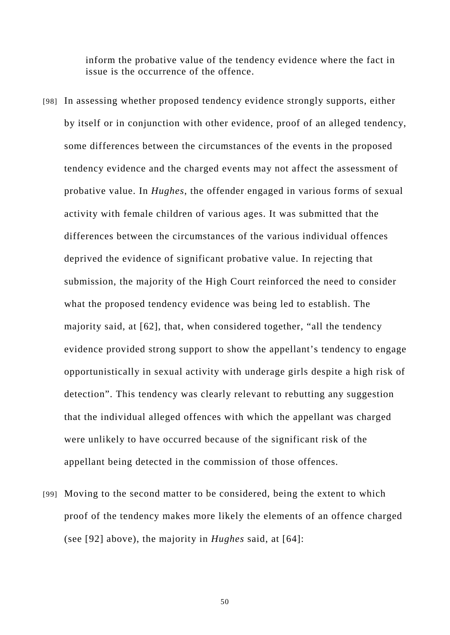inform the probative value of the tendency evidence where the fact in issue is the occurrence of the offence.

- [98] In assessing whether proposed tendency evidence strongly supports, either by itself or in conjunction with other evidence, proof of an alleged tendency, some differences between the circumstances of the events in the proposed tendency evidence and the charged events may not affect the assessment of probative value. In *Hughes*, the offender engaged in various forms of sexual activity with female children of various ages. It was submitted that the differences between the circumstances of the various individual offences deprived the evidence of significant probative value. In rejecting that submission, the majority of the High Court reinforced the need to consider what the proposed tendency evidence was being led to establish. The majority said, at [62], that, when considered together, "all the tendency evidence provided strong support to show the appellant's tendency to engage opportunistically in sexual activity with underage girls despite a high risk of detection". This tendency was clearly relevant to rebutting any suggestion that the individual alleged offences with which the appellant was charged were unlikely to have occurred because of the significant risk of the appellant being detected in the commission of those offences.
- [99] Moving to the second matter to be considered, being the extent to which proof of the tendency makes more likely the elements of an offence charged (see [92] above), the majority in *Hughes* said, at [64]: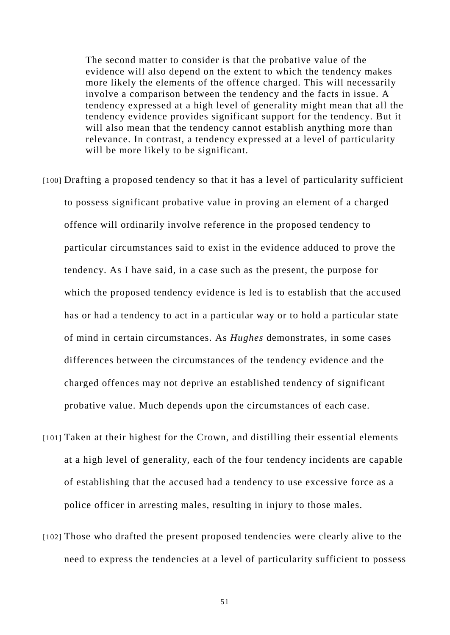The second matter to consider is that the probative value of the evidence will also depend on the extent to which the tendency makes more likely the elements of the offence charged. This will necessarily involve a comparison between the tendency and the facts in issue. A tendency expressed at a high level of generality might mean that all the tendency evidence provides significant support for the tendency. But it will also mean that the tendency cannot establish anything more than relevance. In contrast, a tendency expressed at a level of particularity will be more likely to be significant.

- [100] Drafting a proposed tendency so that it has a level of particularity sufficient to possess significant probative value in proving an element of a charged offence will ordinarily involve reference in the proposed tendency to particular circumstances said to exist in the evidence adduced to prove the tendency. As I have said, in a case such as the present, the purpose for which the proposed tendency evidence is led is to establish that the accused has or had a tendency to act in a particular way or to hold a particular state of mind in certain circumstances. As *Hughes* demonstrates, in some cases differences between the circumstances of the tendency evidence and the charged offences may not deprive an established tendency of significant probative value. Much depends upon the circumstances of each case.
- [101] Taken at their highest for the Crown, and distilling their essential elements at a high level of generality, each of the four tendency incidents are capable of establishing that the accused had a tendency to use excessive force as a police officer in arresting males, resulting in injury to those males.
- [102] Those who drafted the present proposed tendencies were clearly alive to the need to express the tendencies at a level of particularity sufficient to possess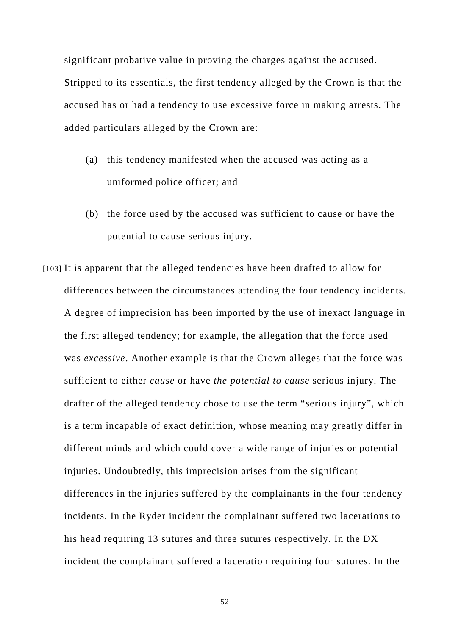significant probative value in proving the charges against the accused. Stripped to its essentials, the first tendency alleged by the Crown is that the accused has or had a tendency to use excessive force in making arrests. The added particulars alleged by the Crown are:

- (a) this tendency manifested when the accused was acting as a uniformed police officer; and
- (b) the force used by the accused was sufficient to cause or have the potential to cause serious injury.
- [103] It is apparent that the alleged tendencies have been drafted to allow for differences between the circumstances attending the four tendency incidents. A degree of imprecision has been imported by the use of inexact language in the first alleged tendency; for example, the allegation that the force used was *excessive*. Another example is that the Crown alleges that the force was sufficient to either *cause* or have *the potential to cause* serious injury. The drafter of the alleged tendency chose to use the term "serious injury", which is a term incapable of exact definition, whose meaning may greatly differ in different minds and which could cover a wide range of injuries or potential injuries. Undoubtedly, this imprecision arises from the significant differences in the injuries suffered by the complainants in the four tendency incidents. In the Ryder incident the complainant suffered two lacerations to his head requiring 13 sutures and three sutures respectively. In the DX incident the complainant suffered a laceration requiring four sutures. In the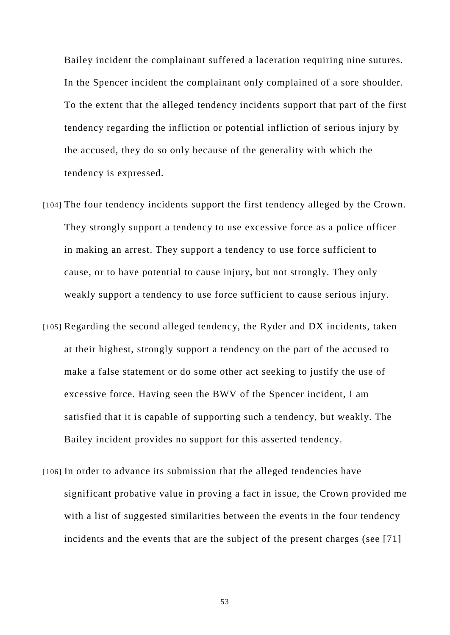Bailey incident the complainant suffered a laceration requiring nine sutures. In the Spencer incident the complainant only complained of a sore shoulder. To the extent that the alleged tendency incidents support that part of the first tendency regarding the infliction or potential infliction of serious injury by the accused, they do so only because of the generality with which the tendency is expressed.

- [104] The four tendency incidents support the first tendency alleged by the Crown. They strongly support a tendency to use excessive force as a police officer in making an arrest. They support a tendency to use force sufficient to cause, or to have potential to cause injury, but not strongly. They only weakly support a tendency to use force sufficient to cause serious injury.
- [105] Regarding the second alleged tendency, the Ryder and DX incidents, taken at their highest, strongly support a tendency on the part of the accused to make a false statement or do some other act seeking to justify the use of excessive force. Having seen the BWV of the Spencer incident, I am satisfied that it is capable of supporting such a tendency, but weakly. The Bailey incident provides no support for this asserted tendency.
- [106] In order to advance its submission that the alleged tendencies have significant probative value in proving a fact in issue, the Crown provided me with a list of suggested similarities between the events in the four tendency incidents and the events that are the subject of the present charges (see [71]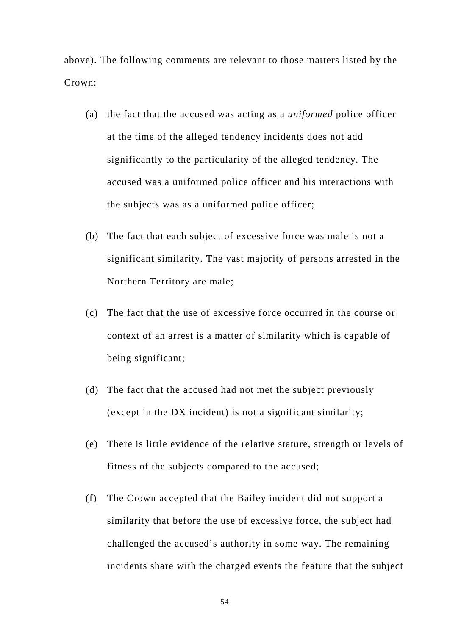above). The following comments are relevant to those matters listed by the Crown:

- (a) the fact that the accused was acting as a *uniformed* police officer at the time of the alleged tendency incidents does not add significantly to the particularity of the alleged tendency. The accused was a uniformed police officer and his interactions with the subjects was as a uniformed police officer;
- (b) The fact that each subject of excessive force was male is not a significant similarity. The vast majority of persons arrested in the Northern Territory are male;
- (c) The fact that the use of excessive force occurred in the course or context of an arrest is a matter of similarity which is capable of being significant;
- (d) The fact that the accused had not met the subject previously (except in the DX incident) is not a significant similarity;
- (e) There is little evidence of the relative stature, strength or levels of fitness of the subjects compared to the accused;
- (f) The Crown accepted that the Bailey incident did not support a similarity that before the use of excessive force, the subject had challenged the accused's authority in some way. The remaining incidents share with the charged events the feature that the subject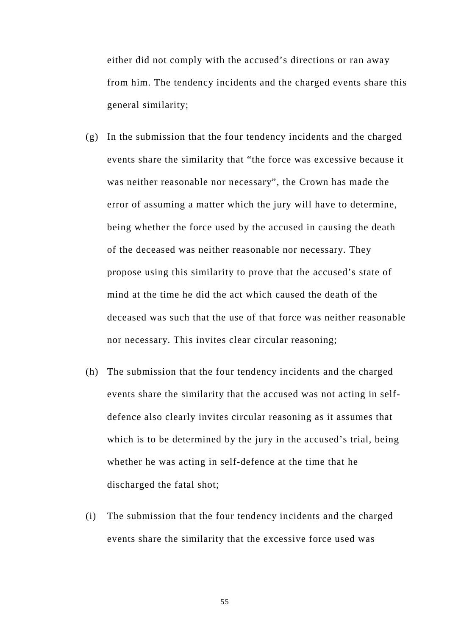either did not comply with the accused's directions or ran away from him. The tendency incidents and the charged events share this general similarity;

- (g) In the submission that the four tendency incidents and the charged events share the similarity that "the force was excessive because it was neither reasonable nor necessary", the Crown has made the error of assuming a matter which the jury will have to determine, being whether the force used by the accused in causing the death of the deceased was neither reasonable nor necessary. They propose using this similarity to prove that the accused's state of mind at the time he did the act which caused the death of the deceased was such that the use of that force was neither reasonable nor necessary. This invites clear circular reasoning;
- (h) The submission that the four tendency incidents and the charged events share the similarity that the accused was not acting in selfdefence also clearly invites circular reasoning as it assumes that which is to be determined by the jury in the accused's trial, being whether he was acting in self-defence at the time that he discharged the fatal shot;
- (i) The submission that the four tendency incidents and the charged events share the similarity that the excessive force used was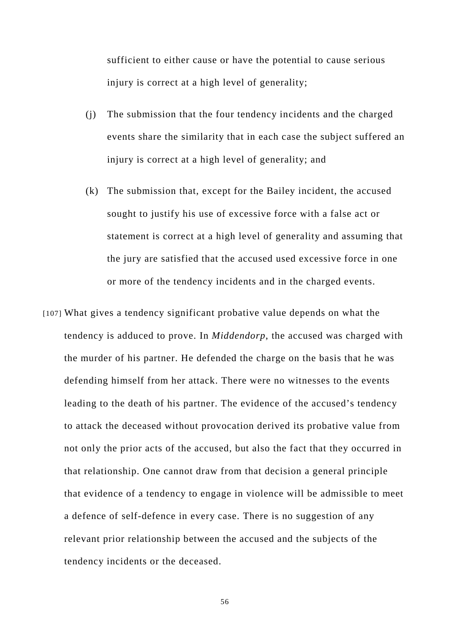sufficient to either cause or have the potential to cause serious injury is correct at a high level of generality;

- (j) The submission that the four tendency incidents and the charged events share the similarity that in each case the subject suffered an injury is correct at a high level of generality; and
- (k) The submission that, except for the Bailey incident, the accused sought to justify his use of excessive force with a false act or statement is correct at a high level of generality and assuming that the jury are satisfied that the accused used excessive force in one or more of the tendency incidents and in the charged events.
- [107] What gives a tendency significant probative value depends on what the tendency is adduced to prove. In *Middendorp*, the accused was charged with the murder of his partner. He defended the charge on the basis that he was defending himself from her attack. There were no witnesses to the events leading to the death of his partner. The evidence of the accused's tendency to attack the deceased without provocation derived its probative value from not only the prior acts of the accused, but also the fact that they occurred in that relationship. One cannot draw from that decision a general principle that evidence of a tendency to engage in violence will be admissible to meet a defence of self-defence in every case. There is no suggestion of any relevant prior relationship between the accused and the subjects of the tendency incidents or the deceased.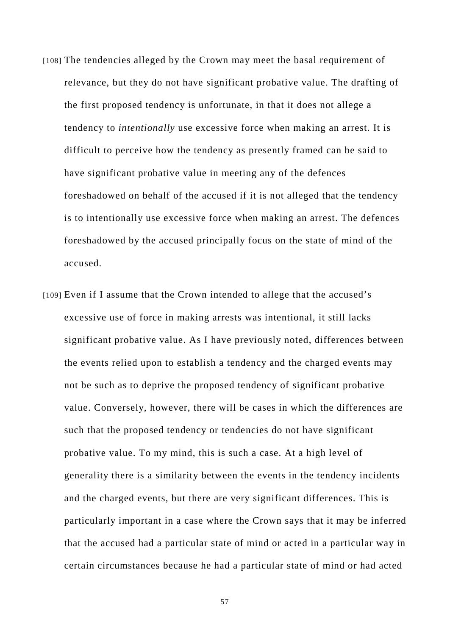- [108] The tendencies alleged by the Crown may meet the basal requirement of relevance, but they do not have significant probative value. The drafting of the first proposed tendency is unfortunate, in that it does not allege a tendency to *intentionally* use excessive force when making an arrest. It is difficult to perceive how the tendency as presently framed can be said to have significant probative value in meeting any of the defences foreshadowed on behalf of the accused if it is not alleged that the tendency is to intentionally use excessive force when making an arrest. The defences foreshadowed by the accused principally focus on the state of mind of the accused.
- [109] Even if I assume that the Crown intended to allege that the accused's excessive use of force in making arrests was intentional, it still lacks significant probative value. As I have previously noted, differences between the events relied upon to establish a tendency and the charged events may not be such as to deprive the proposed tendency of significant probative value. Conversely, however, there will be cases in which the differences are such that the proposed tendency or tendencies do not have significant probative value. To my mind, this is such a case. At a high level of generality there is a similarity between the events in the tendency incidents and the charged events, but there are very significant differences. This is particularly important in a case where the Crown says that it may be inferred that the accused had a particular state of mind or acted in a particular way in certain circumstances because he had a particular state of mind or had acted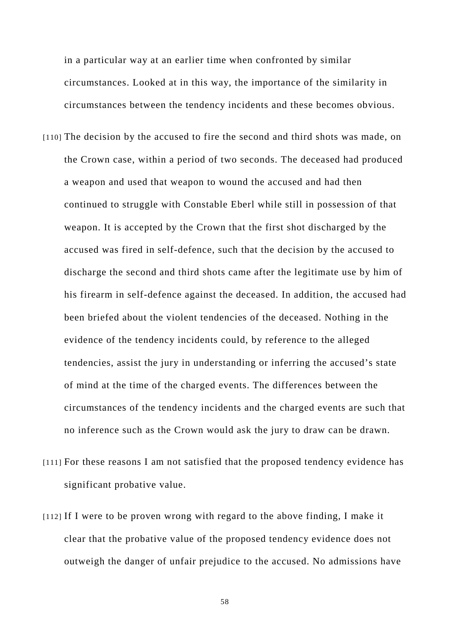in a particular way at an earlier time when confronted by similar circumstances. Looked at in this way, the importance of the similarity in circumstances between the tendency incidents and these becomes obvious.

- [110] The decision by the accused to fire the second and third shots was made, on the Crown case, within a period of two seconds. The deceased had produced a weapon and used that weapon to wound the accused and had then continued to struggle with Constable Eberl while still in possession of that weapon. It is accepted by the Crown that the first shot discharged by the accused was fired in self-defence, such that the decision by the accused to discharge the second and third shots came after the legitimate use by him of his firearm in self-defence against the deceased. In addition, the accused had been briefed about the violent tendencies of the deceased. Nothing in the evidence of the tendency incidents could, by reference to the alleged tendencies, assist the jury in understanding or inferring the accused's state of mind at the time of the charged events. The differences between the circumstances of the tendency incidents and the charged events are such that no inference such as the Crown would ask the jury to draw can be drawn.
- [111] For these reasons I am not satisfied that the proposed tendency evidence has significant probative value.
- [112] If I were to be proven wrong with regard to the above finding, I make it clear that the probative value of the proposed tendency evidence does not outweigh the danger of unfair prejudice to the accused. No admissions have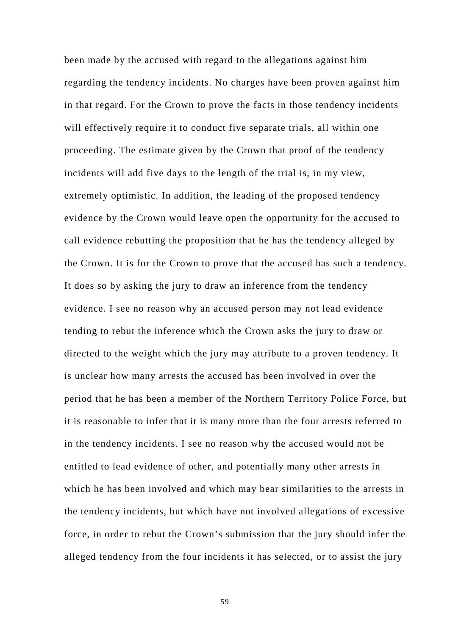been made by the accused with regard to the allegations against him regarding the tendency incidents. No charges have been proven against him in that regard. For the Crown to prove the facts in those tendency incidents will effectively require it to conduct five separate trials, all within one proceeding. The estimate given by the Crown that proof of the tendency incidents will add five days to the length of the trial is, in my view, extremely optimistic. In addition, the leading of the proposed tendency evidence by the Crown would leave open the opportunity for the accused to call evidence rebutting the proposition that he has the tendency alleged by the Crown. It is for the Crown to prove that the accused has such a tendency. It does so by asking the jury to draw an inference from the tendency evidence. I see no reason why an accused person may not lead evidence tending to rebut the inference which the Crown asks the jury to draw or directed to the weight which the jury may attribute to a proven tendency. It is unclear how many arrests the accused has been involved in over the period that he has been a member of the Northern Territory Police Force, but it is reasonable to infer that it is many more than the four arrests referred to in the tendency incidents. I see no reason why the accused would not be entitled to lead evidence of other, and potentially many other arrests in which he has been involved and which may bear similarities to the arrests in the tendency incidents, but which have not involved allegations of excessive force, in order to rebut the Crown's submission that the jury should infer the alleged tendency from the four incidents it has selected, or to assist the jury